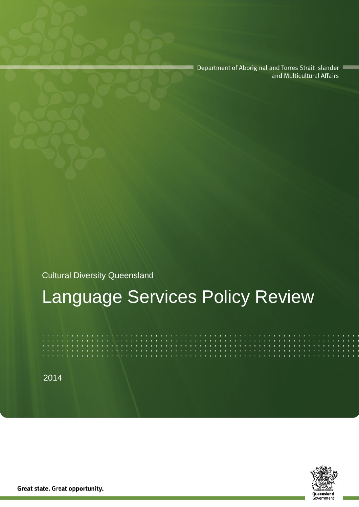Department of Aboriginal and Torres Strait Islander and Multicultural Affairs

Cultural Diversity Queensland

# Language Services Policy Review

2014



Great state. Great opportunity.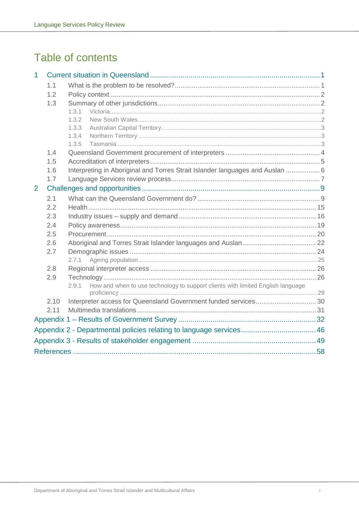# Table of contents

| 1                                                                   |      |                                                                                          |  |  |
|---------------------------------------------------------------------|------|------------------------------------------------------------------------------------------|--|--|
|                                                                     | 1.1  |                                                                                          |  |  |
|                                                                     | 1.2  |                                                                                          |  |  |
| 1.3                                                                 |      |                                                                                          |  |  |
|                                                                     |      | 1.3.1                                                                                    |  |  |
|                                                                     |      | 1.3.2                                                                                    |  |  |
|                                                                     |      | 1.3.3                                                                                    |  |  |
|                                                                     |      | 1.3.4                                                                                    |  |  |
|                                                                     |      | 1.3.5                                                                                    |  |  |
|                                                                     | 1.4  |                                                                                          |  |  |
|                                                                     | 1.5  |                                                                                          |  |  |
|                                                                     | 1.6  | Interpreting in Aboriginal and Torres Strait Islander languages and Auslan  6            |  |  |
|                                                                     | 1.7  |                                                                                          |  |  |
| 2                                                                   |      |                                                                                          |  |  |
|                                                                     | 2.1  |                                                                                          |  |  |
|                                                                     | 2.2  |                                                                                          |  |  |
|                                                                     | 2.3  |                                                                                          |  |  |
|                                                                     | 2.4  |                                                                                          |  |  |
|                                                                     | 2.5  |                                                                                          |  |  |
|                                                                     | 2.6  |                                                                                          |  |  |
|                                                                     | 2.7  |                                                                                          |  |  |
|                                                                     |      | 2.7.1                                                                                    |  |  |
|                                                                     | 2.8  |                                                                                          |  |  |
|                                                                     | 2.9  |                                                                                          |  |  |
|                                                                     |      | How and when to use technology to support clients with limited English language<br>2.9.1 |  |  |
|                                                                     |      |                                                                                          |  |  |
|                                                                     | 2.10 | Interpreter access for Queensland Government funded services 30                          |  |  |
|                                                                     | 2.11 |                                                                                          |  |  |
|                                                                     |      |                                                                                          |  |  |
| Appendix 2 - Departmental policies relating to language services 46 |      |                                                                                          |  |  |
|                                                                     |      |                                                                                          |  |  |
|                                                                     |      |                                                                                          |  |  |
|                                                                     |      |                                                                                          |  |  |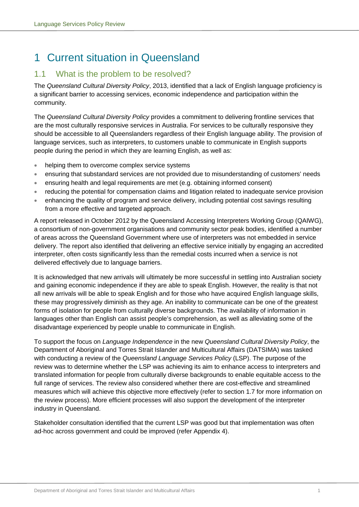# <span id="page-2-0"></span>1 Current situation in Queensland

## <span id="page-2-1"></span>1.1 What is the problem to be resolved?

The *Queensland Cultural Diversity Policy*, 2013, identified that a lack of English language proficiency is a significant barrier to accessing services, economic independence and participation within the community.

The *Queensland Cultural Diversity Policy* provides a commitment to delivering frontline services that are the most culturally responsive services in Australia. For services to be culturally responsive they should be accessible to all Queenslanders regardless of their English language ability. The provision of language services, such as interpreters, to customers unable to communicate in English supports people during the period in which they are learning English, as well as:

- helping them to overcome complex service systems
- ensuring that substandard services are not provided due to misunderstanding of customers' needs
- ensuring health and legal requirements are met (e.g. obtaining informed consent)
- reducing the potential for compensation claims and litigation related to inadequate service provision
- enhancing the quality of program and service delivery, including potential cost savings resulting from a more effective and targeted approach.

A report released in October 2012 by the Queensland Accessing Interpreters Working Group (QAIWG), a consortium of non-government organisations and community sector peak bodies, identified a number of areas across the Queensland Government where use of interpreters was not embedded in service delivery. The report also identified that delivering an effective service initially by engaging an accredited interpreter, often costs significantly less than the remedial costs incurred when a service is not delivered effectively due to language barriers.

It is acknowledged that new arrivals will ultimately be more successful in settling into Australian society and gaining economic independence if they are able to speak English. However, the reality is that not all new arrivals will be able to speak English and for those who have acquired English language skills, these may progressively diminish as they age. An inability to communicate can be one of the greatest forms of isolation for people from culturally diverse backgrounds. The availability of information in languages other than English can assist people's comprehension, as well as alleviating some of the disadvantage experienced by people unable to communicate in English.

To support the focus on *Language Independence* in the new *Queensland Cultural Diversity Policy*, the Department of Aboriginal and Torres Strait Islander and Multicultural Affairs (DATSIMA) was tasked with conducting a review of the *Queensland Language Services Policy* (LSP). The purpose of the review was to determine whether the LSP was achieving its aim to enhance access to interpreters and translated information for people from culturally diverse backgrounds to enable equitable access to the full range of services. The review also considered whether there are cost-effective and streamlined measures which will achieve this objective more effectively (refer to section 1.7 for more information on the review process). More efficient processes will also support the development of the interpreter industry in Queensland.

Stakeholder consultation identified that the current LSP was good but that implementation was often ad-hoc across government and could be improved (refer Appendix 4).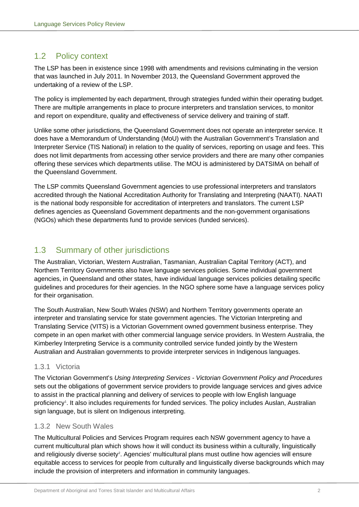## <span id="page-3-0"></span>1.2 Policy context

The LSP has been in existence since 1998 with amendments and revisions culminating in the version that was launched in July 2011. In November 2013, the Queensland Government approved the undertaking of a review of the LSP.

The policy is implemented by each department, through strategies funded within their operating budget. There are multiple arrangements in place to procure interpreters and translation services, to monitor and report on expenditure, quality and effectiveness of service delivery and training of staff.

Unlike some other jurisdictions, the Queensland Government does not operate an interpreter service. It does have a Memorandum of Understanding (MoU) with the Australian Government's Translation and Interpreter Service (TIS National) in relation to the quality of services, reporting on usage and fees. This does not limit departments from accessing other service providers and there are many other companies offering these services which departments utilise. The MOU is administered by DATSIMA on behalf of the Queensland Government.

The LSP commits Queensland Government agencies to use professional interpreters and translators accredited through the National Accreditation Authority for Translating and Interpreting (NAATI). NAATI is the national body responsible for accreditation of interpreters and translators. The current LSP defines agencies as Queensland Government departments and the non-government organisations (NGOs) which these departments fund to provide services (funded services).

## <span id="page-3-1"></span>1.3 Summary of other jurisdictions

The Australian, Victorian, Western Australian, Tasmanian, Australian Capital Territory (ACT), and Northern Territory Governments also have language services policies. Some individual government agencies, in Queensland and other states, have individual language services policies detailing specific guidelines and procedures for their agencies. In the NGO sphere some have a language services policy for their organisation.

The South Australian, New South Wales (NSW) and Northern Territory governments operate an interpreter and translating service for state government agencies. The Victorian Interpreting and Translating Service (VITS) is a Victorian Government owned government business enterprise. They compete in an open market with other commercial language service providers. In Western Australia, the Kimberley Interpreting Service is a community controlled service funded jointly by the Western Australian and Australian governments to provide interpreter services in Indigenous languages.

## <span id="page-3-2"></span>1.3.1 Victoria

The Victorian Government's *Using Interpreting Services - Victorian Government Policy and Procedures* sets out the obligations of government service providers to provide language services and gives advice to assist in the practical planning and delivery of services to people with low English language proficienc[y1](#page-59-1) . It also includes requirements for funded services. The policy includes Auslan, Australian sign language, but is silent on Indigenous interpreting.

## <span id="page-3-3"></span>1.3.2 New South Wales

The Multicultural Policies and Services Program requires each NSW government agency to have a current multicultural plan which shows how it will conduct its business within a culturally, linguistically and religiously diverse society<sup>[2](#page-59-2)</sup>. Agencies' multicultural plans must outline how agencies will ensure equitable access to services for people from culturally and linguistically diverse backgrounds which may include the provision of interpreters and information in community languages.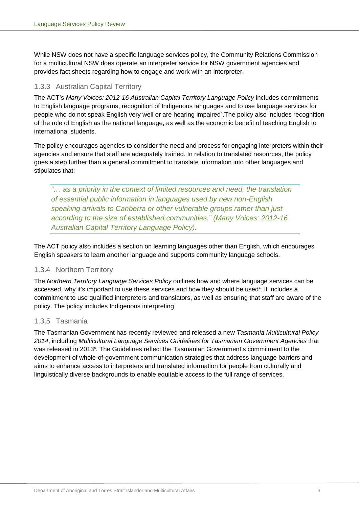While NSW does not have a specific language services policy, the Community Relations Commission for a multicultural NSW does operate an interpreter service for NSW government agencies and provides fact sheets regarding how to engage and work with an interpreter.

## <span id="page-4-0"></span>1.3.3 Australian Capital Territory

The ACT's *Many Voices: 2012-16 Australian Capital Territory Language Policy* includes commitments to English language programs, recognition of Indigenous languages and to use language services for people who do not speak English very well or are hearing impaired<sup>3</sup>.The policy also includes recognition of the role of English as the national language, as well as the economic benefit of teaching English to international students.

The policy encourages agencies to consider the need and process for engaging interpreters within their agencies and ensure that staff are adequately trained. In relation to translated resources, the policy goes a step further than a general commitment to translate information into other languages and stipulates that:

*"… as a priority in the context of limited resources and need, the translation of essential public information in languages used by new non-English speaking arrivals to Canberra or other vulnerable groups rather than just according to the size of established communities." (Many Voices: 2012-16 Australian Capital Territory Language Policy).*

The ACT policy also includes a section on learning languages other than English, which encourages English speakers to learn another language and supports community language schools.

## <span id="page-4-1"></span>1.3.4 Northern Territory

The *Northern Territory Language Services Policy* outlines how and where language services can be accessed, why it's important to use these services and how they should be used<sup>4</sup>. It includes a commitment to use qualified interpreters and translators, as well as ensuring that staff are aware of the policy. The policy includes Indigenous interpreting.

## <span id="page-4-2"></span>1.3.5 Tasmania

The Tasmanian Government has recently reviewed and released a new *Tasmania Multicultural Policy 2014*, including *Multicultural Language Services Guidelines for Tasmanian Government Agencies* that was released in 2013<sup>5</sup>. The Guidelines reflect the Tasmanian Government's commitment to the development of whole-of-government communication strategies that address language barriers and aims to enhance access to interpreters and translated information for people from culturally and linguistically diverse backgrounds to enable equitable access to the full range of services.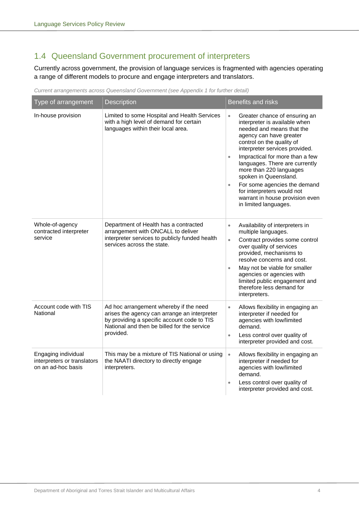## <span id="page-5-0"></span>1.4 Queensland Government procurement of interpreters

Currently across government, the provision of language services is fragmented with agencies operating a range of different models to procure and engage interpreters and translators.

| Current arrangements across Queensland Government (see Appendix 1 for further detail) |  |  |
|---------------------------------------------------------------------------------------|--|--|
|---------------------------------------------------------------------------------------|--|--|

| Type of arrangement                                                      | <b>Description</b>                                                                                                                                                                                | <b>Benefits and risks</b>                                                                                                                                                                                                                                                                                                                                                                                                                                                       |
|--------------------------------------------------------------------------|---------------------------------------------------------------------------------------------------------------------------------------------------------------------------------------------------|---------------------------------------------------------------------------------------------------------------------------------------------------------------------------------------------------------------------------------------------------------------------------------------------------------------------------------------------------------------------------------------------------------------------------------------------------------------------------------|
| In-house provision                                                       | Limited to some Hospital and Health Services<br>with a high level of demand for certain<br>languages within their local area.                                                                     | Greater chance of ensuring an<br>$\bullet$<br>interpreter is available when<br>needed and means that the<br>agency can have greater<br>control on the quality of<br>interpreter services provided.<br>Impractical for more than a few<br>$\bullet$<br>languages. There are currently<br>more than 220 languages<br>spoken in Queensland.<br>For some agencies the demand<br>$\bullet$<br>for interpreters would not<br>warrant in house provision even<br>in limited languages. |
| Whole-of-agency<br>contracted interpreter<br>service                     | Department of Health has a contracted<br>arrangement with ONCALL to deliver<br>interpreter services to publicly funded health<br>services across the state.                                       | Availability of interpreters in<br>$\bullet$<br>multiple languages.<br>Contract provides some control<br>$\bullet$<br>over quality of services<br>provided, mechanisms to<br>resolve concerns and cost.<br>May not be viable for smaller<br>$\bullet$<br>agencies or agencies with<br>limited public engagement and<br>therefore less demand for<br>interpreters.                                                                                                               |
| Account code with TIS<br>National                                        | Ad hoc arrangement whereby if the need<br>arises the agency can arrange an interpreter<br>by providing a specific account code to TIS<br>National and then be billed for the service<br>provided. | Allows flexibility in engaging an<br>$\bullet$<br>interpreter if needed for<br>agencies with low/limited<br>demand.<br>Less control over quality of<br>$\bullet$<br>interpreter provided and cost.                                                                                                                                                                                                                                                                              |
| Engaging individual<br>interpreters or translators<br>on an ad-hoc basis | This may be a mixture of TIS National or using<br>the NAATI directory to directly engage<br>interpreters.                                                                                         | Allows flexibility in engaging an<br>$\bullet$<br>interpreter if needed for<br>agencies with low/limited<br>demand.<br>Less control over quality of<br>$\bullet$<br>interpreter provided and cost.                                                                                                                                                                                                                                                                              |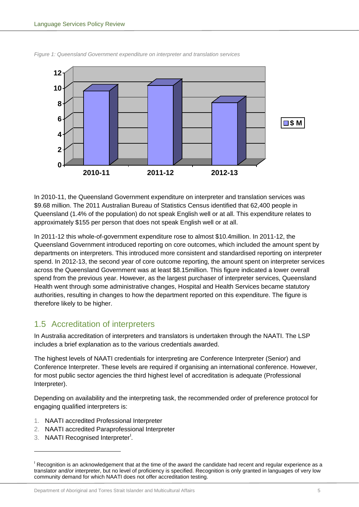

*Figure 1: Queensland Government expenditure on interpreter and translation services*

In 2010-11, the Queensland Government expenditure on interpreter and translation services was \$9.68 million. The 2011 Australian Bureau of Statistics Census identified that 62,400 people in Queensland (1.4% of the population) do not speak English well or at all. This expenditure relates to approximately \$155 per person that does not speak English well or at all.

In 2011-12 this whole-of-government expenditure rose to almost \$10.4million. In 2011-12, the Queensland Government introduced reporting on core outcomes, which included the amount spent by departments on interpreters. This introduced more consistent and standardised reporting on interpreter spend. In 2012-13, the second year of core outcome reporting, the amount spent on interpreter services across the Queensland Government was at least \$8.15million. This figure indicated a lower overall spend from the previous year. However, as the largest purchaser of interpreter services, Queensland Health went through some administrative changes, Hospital and Health Services became statutory authorities, resulting in changes to how the department reported on this expenditure. The figure is therefore likely to be higher.

## <span id="page-6-0"></span>1.5 Accreditation of interpreters

In Australia accreditation of interpreters and translators is undertaken through the NAATI. The LSP includes a brief explanation as to the various credentials awarded.

The highest levels of NAATI credentials for interpreting are Conference Interpreter (Senior) and Conference Interpreter. These levels are required if organising an international conference. However, for most public sector agencies the third highest level of accreditation is adequate (Professional Interpreter).

Depending on availability and the interpreting task, the recommended order of preference protocol for engaging qualified interpreters is:

- 1. NAATI accredited Professional Interpreter
- 2. NAATI accredited Paraprofessional Interpreter
- 3. NAAT[I](#page-6-1) Recognised Interpreter<sup>1</sup>.

-

<span id="page-6-1"></span><sup>&</sup>lt;sup>I</sup> Recognition is an acknowledgement that at the time of the award the candidate had recent and regular experience as a translator and/or interpreter, but no level of proficiency is specified. Recognition is only granted in languages of very low community demand for which NAATI does not offer accreditation testing.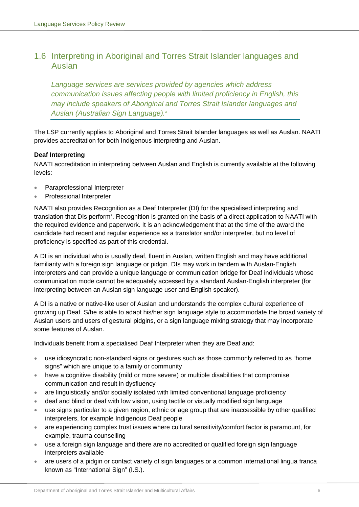## <span id="page-7-0"></span>1.6 Interpreting in Aboriginal and Torres Strait Islander languages and Auslan

*Language services are services provided by agencies which address communication issues affecting people with limited proficiency in English, this may include speakers of Aboriginal and Torres Strait Islander languages and Auslan (Australian Sign Language).[6](#page-59-6)*

The LSP currently applies to Aboriginal and Torres Strait Islander languages as well as Auslan. NAATI provides accreditation for both Indigenous interpreting and Auslan.

## **Deaf Interpreting**

NAATI accreditation in interpreting between Auslan and English is currently available at the following levels:

- Paraprofessional Interpreter
- Professional Interpreter

NAATI also provides Recognition as a Deaf Interpreter (DI) for the specialised interpreting and translation that DIs perform[7](#page-59-7) . Recognition is granted on the basis of a direct application to NAATI with the required evidence and paperwork. It is an acknowledgement that at the time of the award the candidate had recent and regular experience as a translator and/or interpreter, but no level of proficiency is specified as part of this credential.

A DI is an individual who is usually deaf, fluent in Auslan, written English and may have additional familiarity with a foreign sign language or pidgin. DIs may work in tandem with Auslan-English interpreters and can provide a unique language or communication bridge for Deaf individuals whose communication mode cannot be adequately accessed by a standard Auslan-English interpreter (for interpreting between an Auslan sign language user and English speaker).

A DI is a native or native-like user of Auslan and understands the complex cultural experience of growing up Deaf. S/he is able to adapt his/her sign language style to accommodate the broad variety of Auslan users and users of gestural pidgins, or a sign language mixing strategy that may incorporate some features of Auslan.

Individuals benefit from a specialised Deaf Interpreter when they are Deaf and:

- use idiosyncratic non-standard signs or gestures such as those commonly referred to as "home signs" which are unique to a family or community
- have a cognitive disability (mild or more severe) or multiple disabilities that compromise communication and result in dysfluency
- are linguistically and/or socially isolated with limited conventional language proficiency
- deaf and blind or deaf with low vision, using tactile or visually modified sign language
- use signs particular to a given region, ethnic or age group that are inaccessible by other qualified interpreters, for example Indigenous Deaf people
- are experiencing complex trust issues where cultural sensitivity/comfort factor is paramount, for example, trauma counselling
- use a foreign sign language and there are no accredited or qualified foreign sign language interpreters available
- are users of a pidgin or contact variety of sign languages or a common international lingua franca known as "International Sign" (I.S.).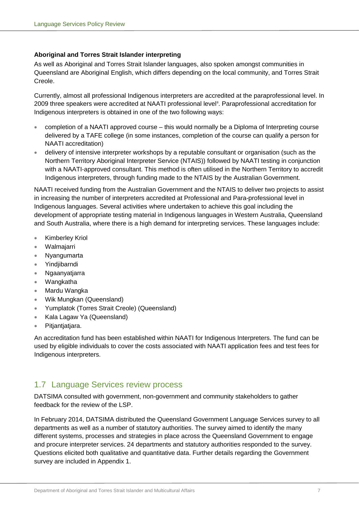## **Aboriginal and Torres Strait Islander interpreting**

As well as Aboriginal and Torres Strait Islander languages, also spoken amongst communities in Queensland are Aboriginal English, which differs depending on the local community, and Torres Strait Creole.

Currently, almost all professional Indigenous interpreters are accredited at the paraprofessional level. In 2009 three speakers were accredited at NAATI professional level<sup>[8](#page-59-8)</sup>. Paraprofessional accreditation for Indigenous interpreters is obtained in one of the two following ways:

- completion of a NAATI approved course this would normally be a Diploma of Interpreting course delivered by a TAFE college (in some instances, completion of the course can qualify a person for NAATI accreditation)
- delivery of intensive interpreter workshops by a reputable consultant or organisation (such as the Northern Territory Aboriginal Interpreter Service (NTAIS)) followed by NAATI testing in conjunction with a NAATI-approved consultant. This method is often utilised in the Northern Territory to accredit Indigenous interpreters, through funding made to the NTAIS by the Australian Government.

NAATI received funding from the Australian Government and the NTAIS to deliver two projects to assist in increasing the number of interpreters accredited at Professional and Para-professional level in Indigenous languages. Several activities where undertaken to achieve this goal including the development of appropriate testing material in Indigenous languages in Western Australia, Queensland and South Australia, where there is a high demand for interpreting services. These languages include:

- Kimberley Kriol
- Walmajarri
- Nyangumarta
- Yindjibarndi
- Ngaanyatjarra
- Wangkatha
- Mardu Wangka
- Wik Mungkan (Queensland)
- Yumplatok (Torres Strait Creole) (Queensland)
- Kala Lagaw Ya (Queensland)
- Pitjantjatjara.

An accreditation fund has been established within NAATI for Indigenous Interpreters. The fund can be used by eligible individuals to cover the costs associated with NAATI application fees and test fees for Indigenous interpreters.

## <span id="page-8-0"></span>1.7 Language Services review process

DATSIMA consulted with government, non-government and community stakeholders to gather feedback for the review of the LSP.

In February 2014, DATSIMA distributed the Queensland Government Language Services survey to all departments as well as a number of statutory authorities. The survey aimed to identify the many different systems, processes and strategies in place across the Queensland Government to engage and procure interpreter services. 24 departments and statutory authorities responded to the survey. Questions elicited both qualitative and quantitative data. Further details regarding the Government survey are included in Appendix 1.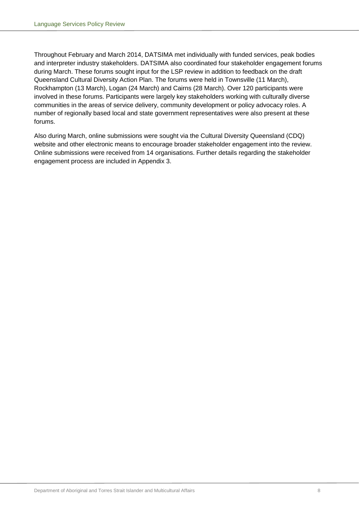Throughout February and March 2014, DATSIMA met individually with funded services, peak bodies and interpreter industry stakeholders. DATSIMA also coordinated four stakeholder engagement forums during March. These forums sought input for the LSP review in addition to feedback on the draft Queensland Cultural Diversity Action Plan. The forums were held in Townsville (11 March), Rockhampton (13 March), Logan (24 March) and Cairns (28 March). Over 120 participants were involved in these forums. Participants were largely key stakeholders working with culturally diverse communities in the areas of service delivery, community development or policy advocacy roles. A number of regionally based local and state government representatives were also present at these forums.

Also during March, online submissions were sought via the Cultural Diversity Queensland (CDQ) website and other electronic means to encourage broader stakeholder engagement into the review. Online submissions were received from 14 organisations. Further details regarding the stakeholder engagement process are included in Appendix 3.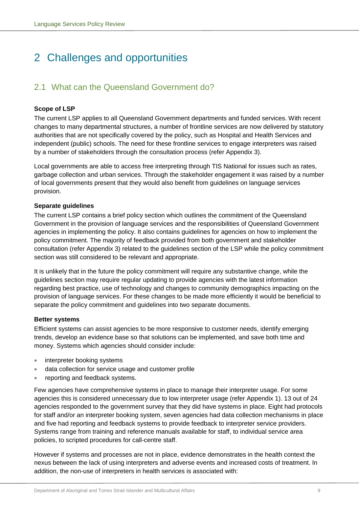# <span id="page-10-0"></span>2 Challenges and opportunities

## <span id="page-10-1"></span>2.1 What can the Queensland Government do?

## **Scope of LSP**

The current LSP applies to all Queensland Government departments and funded services. With recent changes to many departmental structures, a number of frontline services are now delivered by statutory authorities that are not specifically covered by the policy, such as Hospital and Health Services and independent (public) schools. The need for these frontline services to engage interpreters was raised by a number of stakeholders through the consultation process (refer Appendix 3).

Local governments are able to access free interpreting through TIS National for issues such as rates, garbage collection and urban services. Through the stakeholder engagement it was raised by a number of local governments present that they would also benefit from guidelines on language services provision.

## **Separate guidelines**

The current LSP contains a brief policy section which outlines the commitment of the Queensland Government in the provision of language services and the responsibilities of Queensland Government agencies in implementing the policy. It also contains guidelines for agencies on how to implement the policy commitment. The majority of feedback provided from both government and stakeholder consultation (refer Appendix 3) related to the guidelines section of the LSP while the policy commitment section was still considered to be relevant and appropriate.

It is unlikely that in the future the policy commitment will require any substantive change, while the guidelines section may require regular updating to provide agencies with the latest information regarding best practice, use of technology and changes to community demographics impacting on the provision of language services. For these changes to be made more efficiently it would be beneficial to separate the policy commitment and guidelines into two separate documents.

## **Better systems**

Efficient systems can assist agencies to be more responsive to customer needs, identify emerging trends, develop an evidence base so that solutions can be implemented, and save both time and money. Systems which agencies should consider include:

- interpreter booking systems
- data collection for service usage and customer profile
- reporting and feedback systems.

Few agencies have comprehensive systems in place to manage their interpreter usage. For some agencies this is considered unnecessary due to low interpreter usage (refer Appendix 1). 13 out of 24 agencies responded to the government survey that they did have systems in place. Eight had protocols for staff and/or an interpreter booking system, seven agencies had data collection mechanisms in place and five had reporting and feedback systems to provide feedback to interpreter service providers. Systems range from training and reference manuals available for staff, to individual service area policies, to scripted procedures for call-centre staff.

However if systems and processes are not in place, evidence demonstrates in the health context the nexus between the lack of using interpreters and adverse events and increased costs of treatment. In addition, the non-use of interpreters in health services is associated with: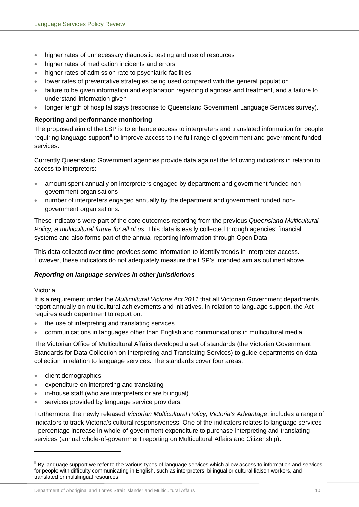- higher rates of unnecessary diagnostic testing and use of resources
- higher rates of medication incidents and errors
- higher rates of admission rate to psychiatric facilities
- lower rates of preventative strategies being used compared with the general population
- failure to be given information and explanation regarding diagnosis and treatment, and a failure to understand information given
- longer length of hospital stays (response to Queensland Government Language Services survey).

## **Reporting and performance monitoring**

The proposed aim of the LSP is to enhance access to interpreters and translated information for people requiring language support<sup>[II](#page-11-0)</sup> to improve access to the full range of government and government-funded services.

Currently Queensland Government agencies provide data against the following indicators in relation to access to interpreters:

- amount spent annually on interpreters engaged by department and government funded nongovernment organisations
- number of interpreters engaged annually by the department and government funded nongovernment organisations.

These indicators were part of the core outcomes reporting from the previous *Queensland Multicultural Policy, a multicultural future for all of us*. This data is easily collected through agencies' financial systems and also forms part of the annual reporting information through Open Data.

This data collected over time provides some information to identify trends in interpreter access. However, these indicators do not adequately measure the LSP's intended aim as outlined above.

## *Reporting on language services in other jurisdictions*

## Victoria

-

It is a requirement under the *Multicultural Victoria Act 2011* that all Victorian Government departments report annually on multicultural achievements and initiatives. In relation to language support, the Act requires each department to report on:

- the use of interpreting and translating services
- communications in languages other than English and communications in multicultural media.

The Victorian Office of Multicultural Affairs developed a set of standards (the Victorian Government Standards for Data Collection on Interpreting and Translating Services) to guide departments on data collection in relation to language services. The standards cover four areas:

- client demographics
- expenditure on interpreting and translating
- in-house staff (who are interpreters or are bilingual)
- services provided by language service providers.

Furthermore, the newly released *Victorian Multicultural Policy, Victoria's Advantage*, includes a range of indicators to track Victoria's cultural responsiveness. One of the indicators relates to language services - percentage increase in whole-of-government expenditure to purchase interpreting and translating services (annual whole-of-government reporting on Multicultural Affairs and Citizenship).

<span id="page-11-0"></span><sup>&</sup>lt;sup>II</sup> By language support we refer to the various types of language services which allow access to information and services for people with difficulty communicating in English, such as interpreters, bilingual or cultural liaison workers, and translated or multilingual resources.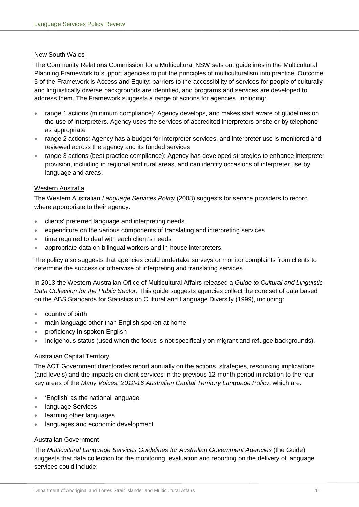## New South Wales

The Community Relations Commission for a Multicultural NSW sets out guidelines in the Multicultural Planning Framework to support agencies to put the principles of multiculturalism into practice. Outcome 5 of the Framework is Access and Equity: barriers to the accessibility of services for people of culturally and linguistically diverse backgrounds are identified, and programs and services are developed to address them. The Framework suggests a range of actions for agencies, including:

- range 1 actions (minimum compliance): Agency develops, and makes staff aware of guidelines on the use of interpreters. Agency uses the services of accredited interpreters onsite or by telephone as appropriate
- range 2 actions: Agency has a budget for interpreter services, and interpreter use is monitored and reviewed across the agency and its funded services
- range 3 actions (best practice compliance): Agency has developed strategies to enhance interpreter provision, including in regional and rural areas, and can identify occasions of interpreter use by language and areas.

## Western Australia

The Western Australian *Language Services Policy* (2008) suggests for service providers to record where appropriate to their agency:

- clients' preferred language and interpreting needs
- expenditure on the various components of translating and interpreting services
- time required to deal with each client's needs
- appropriate data on bilingual workers and in-house interpreters.

The policy also suggests that agencies could undertake surveys or monitor complaints from clients to determine the success or otherwise of interpreting and translating services.

In 2013 the Western Australian Office of Multicultural Affairs released a *Guide to Cultural and Linguistic Data Collection for the Public Sector*. This guide suggests agencies collect the core set of data based on the ABS Standards for Statistics on Cultural and Language Diversity (1999), including:

- country of birth
- main language other than English spoken at home
- proficiency in spoken English
- Indigenous status (used when the focus is not specifically on migrant and refugee backgrounds).

## Australian Capital Territory

The ACT Government directorates report annually on the actions, strategies, resourcing implications (and levels) and the impacts on client services in the previous 12-month period in relation to the four key areas of the *Many Voices: 2012-16 Australian Capital Territory Language Policy*, which are:

- 'English' as the national language
- language Services
- learning other languages
- languages and economic development.

## Australian Government

The *Multicultural Language Services Guidelines for Australian Government Agencies* (the Guide) suggests that data collection for the monitoring, evaluation and reporting on the delivery of language services could include: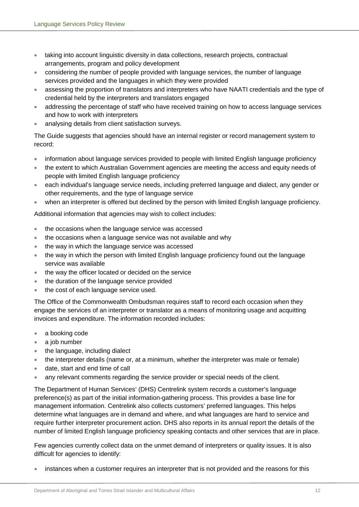- taking into account linguistic diversity in data collections, research projects, contractual arrangements, program and policy development
- considering the number of people provided with language services, the number of language services provided and the languages in which they were provided
- assessing the proportion of translators and interpreters who have NAATI credentials and the type of credential held by the interpreters and translators engaged
- addressing the percentage of staff who have received training on how to access language services and how to work with interpreters
- analysing details from client satisfaction surveys.

The Guide suggests that agencies should have an internal register or record management system to record:

- information about language services provided to people with limited English language proficiency
- the extent to which Australian Government agencies are meeting the access and equity needs of people with limited English language proficiency
- each individual's language service needs, including preferred language and dialect, any gender or other requirements, and the type of language service
- when an interpreter is offered but declined by the person with limited English language proficiency.

Additional information that agencies may wish to collect includes:

- the occasions when the language service was accessed
- the occasions when a language service was not available and why
- the way in which the language service was accessed
- the way in which the person with limited English language proficiency found out the language service was available
- the way the officer located or decided on the service
- the duration of the language service provided
- the cost of each language service used.

The Office of the Commonwealth Ombudsman requires staff to record each occasion when they engage the services of an interpreter or translator as a means of monitoring usage and acquitting invoices and expenditure. The information recorded includes:

- a booking code
- a job number
- the language, including dialect
- the interpreter details (name or, at a minimum, whether the interpreter was male or female)
- date, start and end time of call
- any relevant comments regarding the service provider or special needs of the client.

The Department of Human Services' (DHS) Centrelink system records a customer's language preference(s) as part of the initial information-gathering process. This provides a base line for management information. Centrelink also collects customers' preferred languages. This helps determine what languages are in demand and where, and what languages are hard to service and require further interpreter procurement action. DHS also reports in its annual report the details of the number of limited English language proficiency speaking contacts and other services that are in place.

Few agencies currently collect data on the unmet demand of interpreters or quality issues. It is also difficult for agencies to identify:

• instances when a customer requires an interpreter that is not provided and the reasons for this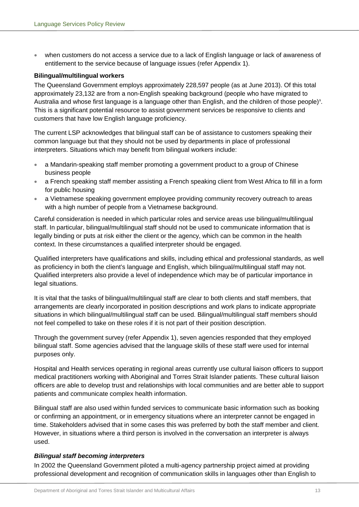• when customers do not access a service due to a lack of English language or lack of awareness of entitlement to the service because of language issues (refer Appendix 1).

#### **Bilingual/multilingual workers**

The Queensland Government employs approximately 228,597 people (as at June 2013). Of this total approximately 23,132 are from a non-English speaking background (people who have migrated to Australia and whose first language is a language other than English, and the children of those people)<sup>9</sup>. This is a significant potential resource to assist government services be responsive to clients and customers that have low English language proficiency.

The current LSP acknowledges that bilingual staff can be of assistance to customers speaking their common language but that they should not be used by departments in place of professional interpreters. Situations which may benefit from bilingual workers include:

- a Mandarin-speaking staff member promoting a government product to a group of Chinese business people
- a French speaking staff member assisting a French speaking client from West Africa to fill in a form for public housing
- a Vietnamese speaking government employee providing community recovery outreach to areas with a high number of people from a Vietnamese background.

Careful consideration is needed in which particular roles and service areas use bilingual/multilingual staff. In particular, bilingual/multilingual staff should not be used to communicate information that is legally binding or puts at risk either the client or the agency, which can be common in the health context. In these circumstances a qualified interpreter should be engaged.

Qualified interpreters have qualifications and skills, including ethical and professional standards, as well as proficiency in both the client's language and English, which bilingual/multilingual staff may not. Qualified interpreters also provide a level of independence which may be of particular importance in legal situations.

It is vital that the tasks of bilingual/multilingual staff are clear to both clients and staff members, that arrangements are clearly incorporated in position descriptions and work plans to indicate appropriate situations in which bilingual/multilingual staff can be used. Bilingual/multilingual staff members should not feel compelled to take on these roles if it is not part of their position description.

Through the government survey (refer Appendix 1), seven agencies responded that they employed bilingual staff. Some agencies advised that the language skills of these staff were used for internal purposes only.

Hospital and Health services operating in regional areas currently use cultural liaison officers to support medical practitioners working with Aboriginal and Torres Strait Islander patients. These cultural liaison officers are able to develop trust and relationships with local communities and are better able to support patients and communicate complex health information.

Bilingual staff are also used within funded services to communicate basic information such as booking or confirming an appointment, or in emergency situations where an interpreter cannot be engaged in time. Stakeholders advised that in some cases this was preferred by both the staff member and client. However, in situations where a third person is involved in the conversation an interpreter is always used.

## *Bilingual staff becoming interpreters*

In 2002 the Queensland Government piloted a multi-agency partnership project aimed at providing professional development and recognition of communication skills in languages other than English to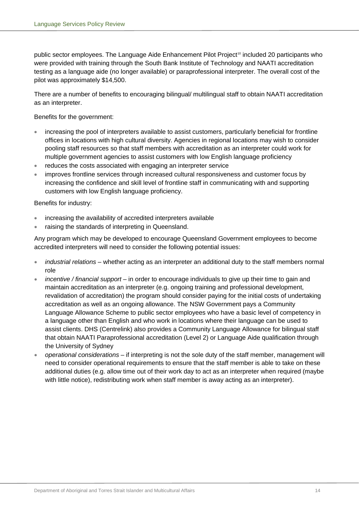public sector employees. The Language Aide Enhancement Pilot Project<sup>[10](#page-59-10)</sup> included 20 participants who were provided with training through the South Bank Institute of Technology and NAATI accreditation testing as a language aide (no longer available) or paraprofessional interpreter. The overall cost of the pilot was approximately \$14,500.

There are a number of benefits to encouraging bilingual/ multilingual staff to obtain NAATI accreditation as an interpreter.

Benefits for the government:

- increasing the pool of interpreters available to assist customers, particularly beneficial for frontline offices in locations with high cultural diversity. Agencies in regional locations may wish to consider pooling staff resources so that staff members with accreditation as an interpreter could work for multiple government agencies to assist customers with low English language proficiency
- reduces the costs associated with engaging an interpreter service
- improves frontline services through increased cultural responsiveness and customer focus by increasing the confidence and skill level of frontline staff in communicating with and supporting customers with low English language proficiency.

Benefits for industry:

- increasing the availability of accredited interpreters available
- raising the standards of interpreting in Queensland.

Any program which may be developed to encourage Queensland Government employees to become accredited interpreters will need to consider the following potential issues:

- *industrial relations* whether acting as an interpreter an additional duty to the staff members normal role
- *incentive / financial support* in order to encourage individuals to give up their time to gain and maintain accreditation as an interpreter (e.g. ongoing training and professional development, revalidation of accreditation) the program should consider paying for the initial costs of undertaking accreditation as well as an ongoing allowance. The NSW Government pays a Community Language Allowance Scheme to public sector employees who have a basic level of competency in a language other than English and who work in locations where their language can be used to assist clients. DHS (Centrelink) also provides a Community Language Allowance for bilingual staff that obtain NAATI Paraprofessional accreditation (Level 2) or Language Aide qualification through the University of Sydney
- *operational considerations* if interpreting is not the sole duty of the staff member, management will need to consider operational requirements to ensure that the staff member is able to take on these additional duties (e.g. allow time out of their work day to act as an interpreter when required (maybe with little notice), redistributing work when staff member is away acting as an interpreter).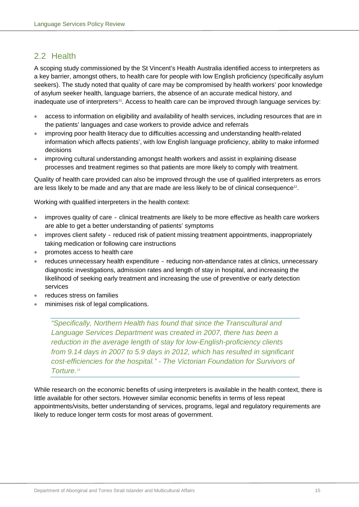## <span id="page-16-0"></span>2.2 Health

A scoping study commissioned by the St Vincent's Health Australia identified access to interpreters as a key barrier, amongst others, to health care for people with low English proficiency (specifically asylum seekers). The study noted that quality of care may be compromised by health workers' poor knowledge of asylum seeker health, language barriers, the absence of an accurate medical history, and inadequate use of interpreters<sup>[11](#page-59-11)</sup>. Access to health care can be improved through language services by:

- access to information on eligibility and availability of health services, including resources that are in the patients' languages and case workers to provide advice and referrals
- improving poor health literacy due to difficulties accessing and understanding health-related information which affects patients', with low English language proficiency, ability to make informed decisions
- improving cultural understanding amongst health workers and assist in explaining disease processes and treatment regimes so that patients are more likely to comply with treatment.

Quality of health care provided can also be improved through the use of qualified interpreters as errors are less likely to be made and any that are made are less likely to be of clinical consequence<sup>12</sup>.

Working with qualified interpreters in the health context:

- improves quality of care clinical treatments are likely to be more effective as health care workers are able to get a better understanding of patients' symptoms
- improves client safety reduced risk of patient missing treatment appointments, inappropriately taking medication or following care instructions
- promotes access to health care
- reduces unnecessary health expenditure reducing non-attendance rates at clinics, unnecessary diagnostic investigations, admission rates and length of stay in hospital, and increasing the likelihood of seeking early treatment and increasing the use of preventive or early detection services
- reduces stress on families
- minimises risk of legal complications.

*"Specifically, Northern Health has found that since the Transcultural and Language Services Department was created in 2007, there has been a reduction in the average length of stay for low-English-proficiency clients from 9.14 days in 2007 to 5.9 days in 2012, which has resulted in significant cost-efficiencies for the hospital." - The Victorian Foundation for Survivors of Torture[.13](#page-59-13)*

While research on the economic benefits of using interpreters is available in the health context, there is little available for other sectors. However similar economic benefits in terms of less repeat appointments/visits, better understanding of services, programs, legal and regulatory requirements are likely to reduce longer term costs for most areas of government.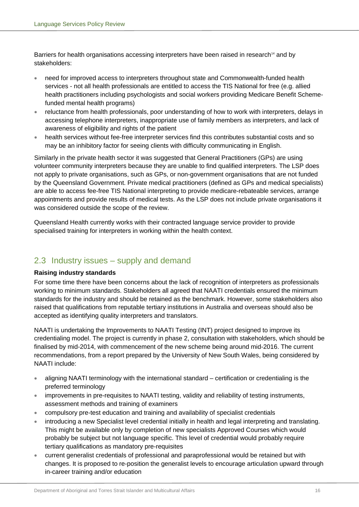Barriers for health organisations accessing interpreters have been raised in research<sup>[14](#page-59-14)</sup> and by stakeholders:

- need for improved access to interpreters throughout state and Commonwealth-funded health services - not all health professionals are entitled to access the TIS National for free (e.g. allied health practitioners including psychologists and social workers providing Medicare Benefit Schemefunded mental health programs)
- reluctance from health professionals, poor understanding of how to work with interpreters, delays in accessing telephone interpreters, inappropriate use of family members as interpreters, and lack of awareness of eligibility and rights of the patient
- health services without fee-free interpreter services find this contributes substantial costs and so may be an inhibitory factor for seeing clients with difficulty communicating in English.

Similarly in the private health sector it was suggested that General Practitioners (GPs) are using volunteer community interpreters because they are unable to find qualified interpreters. The LSP does not apply to private organisations, such as GPs, or non-government organisations that are not funded by the Queensland Government. Private medical practitioners (defined as GPs and medical specialists) are able to access fee-free TIS National interpreting to provide medicare-rebateable services, arrange appointments and provide results of medical tests. As the LSP does not include private organisations it was considered outside the scope of the review.

Queensland Health currently works with their contracted language service provider to provide specialised training for interpreters in working within the health context.

## <span id="page-17-0"></span>2.3 Industry issues – supply and demand

## **Raising industry standards**

For some time there have been concerns about the lack of recognition of interpreters as professionals working to minimum standards. Stakeholders all agreed that NAATI credentials ensured the minimum standards for the industry and should be retained as the benchmark. However, some stakeholders also raised that qualifications from reputable tertiary institutions in Australia and overseas should also be accepted as identifying quality interpreters and translators.

NAATI is undertaking the Improvements to NAATI Testing (INT) project designed to improve its credentialing model. The project is currently in phase 2, consultation with stakeholders, which should be finalised by mid-2014, with commencement of the new scheme being around mid-2016. The current recommendations, from a report prepared by the University of New South Wales, being considered by NAATI include:

- aligning NAATI terminology with the international standard certification or credentialing is the preferred terminology
- improvements in pre-requisites to NAATI testing, validity and reliability of testing instruments, assessment methods and training of examiners
- compulsory pre-test education and training and availability of specialist credentials
- introducing a new Specialist level credential initially in health and legal interpreting and translating. This might be available only by completion of new specialists Approved Courses which would probably be subject but not language specific. This level of credential would probably require tertiary qualifications as mandatory pre-requisites
- current generalist credentials of professional and paraprofessional would be retained but with changes. It is proposed to re-position the generalist levels to encourage articulation upward through in-career training and/or education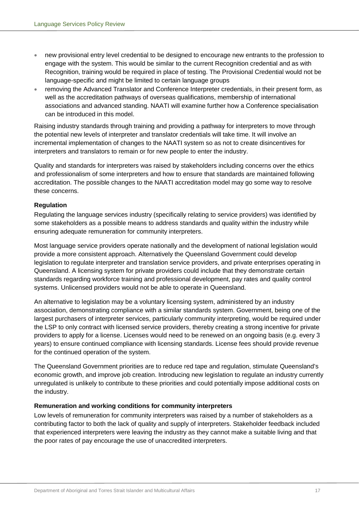- new provisional entry level credential to be designed to encourage new entrants to the profession to engage with the system. This would be similar to the current Recognition credential and as with Recognition, training would be required in place of testing. The Provisional Credential would not be language-specific and might be limited to certain language groups
- removing the Advanced Translator and Conference Interpreter credentials, in their present form, as well as the accreditation pathways of overseas qualifications, membership of international associations and advanced standing. NAATI will examine further how a Conference specialisation can be introduced in this model.

Raising industry standards through training and providing a pathway for interpreters to move through the potential new levels of interpreter and translator credentials will take time. It will involve an incremental implementation of changes to the NAATI system so as not to create disincentives for interpreters and translators to remain or for new people to enter the industry.

Quality and standards for interpreters was raised by stakeholders including concerns over the ethics and professionalism of some interpreters and how to ensure that standards are maintained following accreditation. The possible changes to the NAATI accreditation model may go some way to resolve these concerns.

## **Regulation**

Regulating the language services industry (specifically relating to service providers) was identified by some stakeholders as a possible means to address standards and quality within the industry while ensuring adequate remuneration for community interpreters.

Most language service providers operate nationally and the development of national legislation would provide a more consistent approach. Alternatively the Queensland Government could develop legislation to regulate interpreter and translation service providers, and private enterprises operating in Queensland. A licensing system for private providers could include that they demonstrate certain standards regarding workforce training and professional development, pay rates and quality control systems. Unlicensed providers would not be able to operate in Queensland.

An alternative to legislation may be a voluntary licensing system, administered by an industry association, demonstrating compliance with a similar standards system. Government, being one of the largest purchasers of interpreter services, particularly community interpreting, would be required under the LSP to only contract with licensed service providers, thereby creating a strong incentive for private providers to apply for a license. Licenses would need to be renewed on an ongoing basis (e.g. every 3 years) to ensure continued compliance with licensing standards. License fees should provide revenue for the continued operation of the system.

The Queensland Government priorities are to reduce red tape and regulation, stimulate Queensland's economic growth, and improve job creation. Introducing new legislation to regulate an industry currently unregulated is unlikely to contribute to these priorities and could potentially impose additional costs on the industry.

## **Remuneration and working conditions for community interpreters**

Low levels of remuneration for community interpreters was raised by a number of stakeholders as a contributing factor to both the lack of quality and supply of interpreters. Stakeholder feedback included that experienced interpreters were leaving the industry as they cannot make a suitable living and that the poor rates of pay encourage the use of unaccredited interpreters.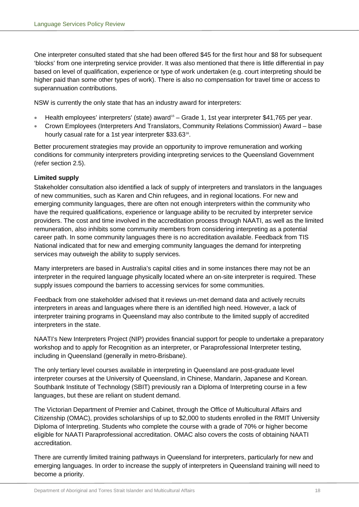One interpreter consulted stated that she had been offered \$45 for the first hour and \$8 for subsequent 'blocks' from one interpreting service provider. It was also mentioned that there is little differential in pay based on level of qualification, experience or type of work undertaken (e.g. court interpreting should be higher paid than some other types of work). There is also no compensation for travel time or access to superannuation contributions.

NSW is currently the only state that has an industry award for interpreters:

- Health employees' interpreters' (state) award<sup>[15](#page-59-15)</sup> Grade 1, 1st year interpreter \$41,765 per year.
- Crown Employees (Interpreters And Translators, Community Relations Commission) Award base hourly casual rate for a 1st year interpreter \$33.63<sup>16</sup>.

Better procurement strategies may provide an opportunity to improve remuneration and working conditions for community interpreters providing interpreting services to the Queensland Government (refer section 2.5).

## **Limited supply**

Stakeholder consultation also identified a lack of supply of interpreters and translators in the languages of new communities, such as Karen and Chin refugees, and in regional locations. For new and emerging community languages, there are often not enough interpreters within the community who have the required qualifications, experience or language ability to be recruited by interpreter service providers. The cost and time involved in the accreditation process through NAATI, as well as the limited remuneration, also inhibits some community members from considering interpreting as a potential career path. In some community languages there is no accreditation available. Feedback from TIS National indicated that for new and emerging community languages the demand for interpreting services may outweigh the ability to supply services.

Many interpreters are based in Australia's capital cities and in some instances there may not be an interpreter in the required language physically located where an on-site interpreter is required. These supply issues compound the barriers to accessing services for some communities.

Feedback from one stakeholder advised that it reviews un-met demand data and actively recruits interpreters in areas and languages where there is an identified high need. However, a lack of interpreter training programs in Queensland may also contribute to the limited supply of accredited interpreters in the state.

NAATI's New Interpreters Project (NIP) provides financial support for people to undertake a preparatory workshop and to apply for Recognition as an interpreter, or Paraprofessional Interpreter testing, including in Queensland (generally in metro-Brisbane).

The only tertiary level courses available in interpreting in Queensland are post-graduate level interpreter courses at the University of Queensland, in Chinese, Mandarin, Japanese and Korean. Southbank Institute of Technology (SBIT) previously ran a Diploma of Interpreting course in a few languages, but these are reliant on student demand.

The Victorian Department of Premier and Cabinet, through the Office of Multicultural Affairs and Citizenship (OMAC), provides scholarships of up to \$2,000 to students enrolled in the RMIT University Diploma of Interpreting. Students who complete the course with a grade of 70% or higher become eligible for NAATI Paraprofessional accreditation. OMAC also covers the costs of obtaining NAATI accreditation.

There are currently limited training pathways in Queensland for interpreters, particularly for new and emerging languages. In order to increase the supply of interpreters in Queensland training will need to become a priority.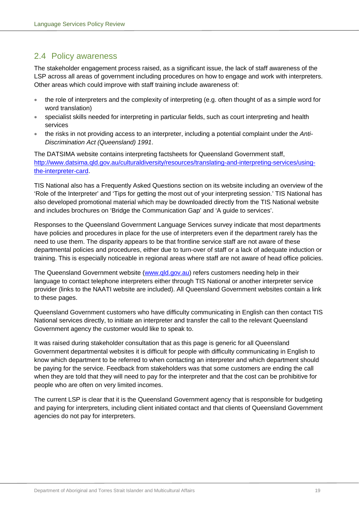## <span id="page-20-0"></span>2.4 Policy awareness

The stakeholder engagement process raised, as a significant issue, the lack of staff awareness of the LSP across all areas of government including procedures on how to engage and work with interpreters. Other areas which could improve with staff training include awareness of:

- the role of interpreters and the complexity of interpreting (e.g. often thought of as a simple word for word translation)
- specialist skills needed for interpreting in particular fields, such as court interpreting and health services
- the risks in not providing access to an interpreter, including a potential complaint under the *Anti-Discrimination Act (Queensland) 1991*.

The DATSIMA website contains interpreting factsheets for Queensland Government staff, [http://www.datsima.qld.gov.au/culturaldiversity/resources/translating-and-interpreting-services/using](http://www.datsima.qld.gov.au/culturaldiversity/resources/translating-and-interpreting-services/using-the-interpreter-card)[the-interpreter-card.](http://www.datsima.qld.gov.au/culturaldiversity/resources/translating-and-interpreting-services/using-the-interpreter-card)

TIS National also has a Frequently Asked Questions section on its website including an overview of the 'Role of the Interpreter' and 'Tips for getting the most out of your interpreting session.' TIS National has also developed promotional material which may be downloaded directly from the TIS National website and includes brochures on 'Bridge the Communication Gap' and 'A guide to services'.

Responses to the Queensland Government Language Services survey indicate that most departments have policies and procedures in place for the use of interpreters even if the department rarely has the need to use them. The disparity appears to be that frontline service staff are not aware of these departmental policies and procedures, either due to turn-over of staff or a lack of adequate induction or training. This is especially noticeable in regional areas where staff are not aware of head office policies.

The Queensland Government website [\(www.qld.gov.au\)](http://www.qld.gov.au/) refers customers needing help in their language to contact telephone interpreters either through TIS National or another interpreter service provider (links to the NAATI website are included). All Queensland Government websites contain a link to these pages.

Queensland Government customers who have difficulty communicating in English can then contact TIS National services directly, to initiate an interpreter and transfer the call to the relevant Queensland Government agency the customer would like to speak to.

It was raised during stakeholder consultation that as this page is generic for all Queensland Government departmental websites it is difficult for people with difficulty communicating in English to know which department to be referred to when contacting an interpreter and which department should be paying for the service. Feedback from stakeholders was that some customers are ending the call when they are told that they will need to pay for the interpreter and that the cost can be prohibitive for people who are often on very limited incomes.

The current LSP is clear that it is the Queensland Government agency that is responsible for budgeting and paying for interpreters, including client initiated contact and that clients of Queensland Government agencies do not pay for interpreters.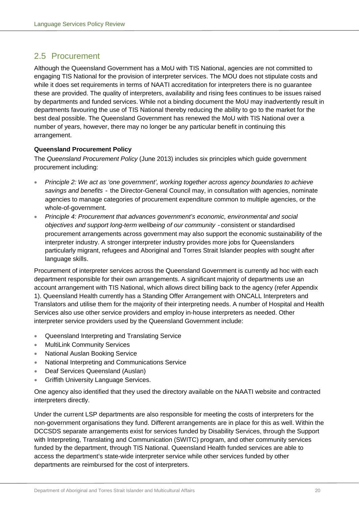## <span id="page-21-0"></span>2.5 Procurement

Although the Queensland Government has a MoU with TIS National, agencies are not committed to engaging TIS National for the provision of interpreter services. The MOU does not stipulate costs and while it does set requirements in terms of NAATI accreditation for interpreters there is no guarantee these are provided. The quality of interpreters, availability and rising fees continues to be issues raised by departments and funded services. While not a binding document the MoU may inadvertently result in departments favouring the use of TIS National thereby reducing the ability to go to the market for the best deal possible. The Queensland Government has renewed the MoU with TIS National over a number of years, however, there may no longer be any particular benefit in continuing this arrangement.

## **Queensland Procurement Policy**

The *Queensland Procurement Policy* (June 2013) includes six principles which guide government procurement including:

- *Principle 2: We act as 'one government', working together across agency boundaries to achieve savings and benefits* - the Director-General Council may, in consultation with agencies, nominate agencies to manage categories of procurement expenditure common to multiple agencies, or the whole-of-government.
- *Principle 4: Procurement that advances government's economic, environmental and social objectives and support long-term wellbeing of our community -*consistent or standardised procurement arrangements across government may also support the economic sustainability of the interpreter industry. A stronger interpreter industry provides more jobs for Queenslanders particularly migrant, refugees and Aboriginal and Torres Strait Islander peoples with sought after language skills.

Procurement of interpreter services across the Queensland Government is currently ad hoc with each department responsible for their own arrangements. A significant majority of departments use an account arrangement with TIS National, which allows direct billing back to the agency (refer Appendix 1). Queensland Health currently has a Standing Offer Arrangement with ONCALL Interpreters and Translators and utilise them for the majority of their interpreting needs. A number of Hospital and Health Services also use other service providers and employ in-house interpreters as needed. Other interpreter service providers used by the Queensland Government include:

- Queensland Interpreting and Translating Service
- **MultiLink Community Services**
- National Auslan Booking Service
- National Interpreting and Communications Service
- Deaf Services Queensland (Auslan)
- Griffith University Language Services.

One agency also identified that they used the directory available on the NAATI website and contracted interpreters directly.

Under the current LSP departments are also responsible for meeting the costs of interpreters for the non-government organisations they fund. Different arrangements are in place for this as well. Within the DCCSDS separate arrangements exist for services funded by Disability Services, through the Support with Interpreting, Translating and Communication (SWITC) program, and other community services funded by the department, through TIS National. Queensland Health funded services are able to access the department's state-wide interpreter service while other services funded by other departments are reimbursed for the cost of interpreters.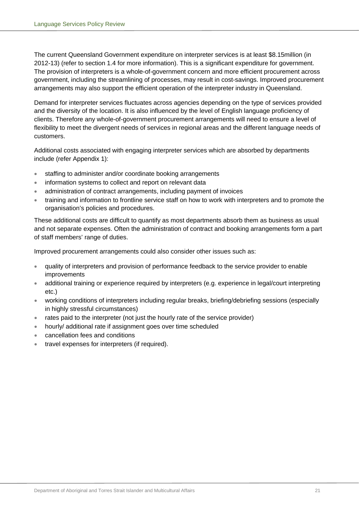The current Queensland Government expenditure on interpreter services is at least \$8.15million (in 2012-13) (refer to section 1.4 for more information). This is a significant expenditure for government. The provision of interpreters is a whole-of-government concern and more efficient procurement across government, including the streamlining of processes, may result in cost-savings. Improved procurement arrangements may also support the efficient operation of the interpreter industry in Queensland.

Demand for interpreter services fluctuates across agencies depending on the type of services provided and the diversity of the location. It is also influenced by the level of English language proficiency of clients. Therefore any whole-of-government procurement arrangements will need to ensure a level of flexibility to meet the divergent needs of services in regional areas and the different language needs of customers.

Additional costs associated with engaging interpreter services which are absorbed by departments include (refer Appendix 1):

- staffing to administer and/or coordinate booking arrangements
- information systems to collect and report on relevant data
- administration of contract arrangements, including payment of invoices
- training and information to frontline service staff on how to work with interpreters and to promote the organisation's policies and procedures.

These additional costs are difficult to quantify as most departments absorb them as business as usual and not separate expenses. Often the administration of contract and booking arrangements form a part of staff members' range of duties.

Improved procurement arrangements could also consider other issues such as:

- quality of interpreters and provision of performance feedback to the service provider to enable improvements
- additional training or experience required by interpreters (e.g. experience in legal/court interpreting etc.)
- working conditions of interpreters including regular breaks, briefing/debriefing sessions (especially in highly stressful circumstances)
- rates paid to the interpreter (not just the hourly rate of the service provider)
- hourly/ additional rate if assignment goes over time scheduled
- cancellation fees and conditions
- travel expenses for interpreters (if required).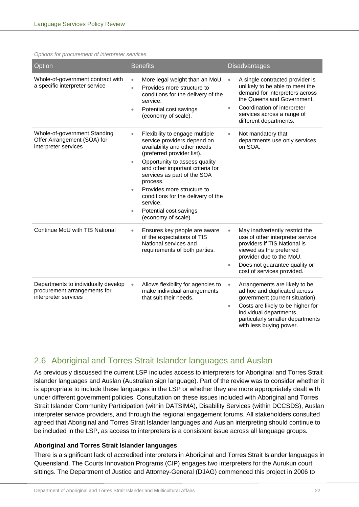*Options for procurement of interpreter services*

| Option                                                                                      | <b>Benefits</b>                                                                                                                                                                                                                                                                                                                                                                                                                  | <b>Disadvantages</b>                                                                                                                                                                                                                                      |  |
|---------------------------------------------------------------------------------------------|----------------------------------------------------------------------------------------------------------------------------------------------------------------------------------------------------------------------------------------------------------------------------------------------------------------------------------------------------------------------------------------------------------------------------------|-----------------------------------------------------------------------------------------------------------------------------------------------------------------------------------------------------------------------------------------------------------|--|
| Whole-of-government contract with<br>a specific interpreter service                         | More legal weight than an MoU.<br>$\bullet$<br>Provides more structure to<br>$\bullet$<br>conditions for the delivery of the<br>service.<br>Potential cost savings<br>$\bullet$<br>(economy of scale).                                                                                                                                                                                                                           | A single contracted provider is<br>$\bullet$<br>unlikely to be able to meet the<br>demand for interpreters across<br>the Queensland Government.<br>Coordination of interpreter<br>$\bullet$<br>services across a range of<br>different departments.       |  |
| Whole-of-government Standing<br>Offer Arrangement (SOA) for<br>interpreter services         | Flexibility to engage multiple<br>$\bullet$<br>service providers depend on<br>availability and other needs<br>(preferred provider list).<br>Opportunity to assess quality<br>$\bullet$<br>and other important criteria for<br>services as part of the SOA<br>process.<br>Provides more structure to<br>$\bullet$<br>conditions for the delivery of the<br>service.<br>Potential cost savings<br>$\bullet$<br>(economy of scale). | Not mandatory that<br>$\bullet$<br>departments use only services<br>on SOA.                                                                                                                                                                               |  |
| Continue MoU with TIS National                                                              | Ensures key people are aware<br>$\bullet$<br>of the expectations of TIS<br>National services and<br>requirements of both parties.                                                                                                                                                                                                                                                                                                | May inadvertently restrict the<br>$\bullet$<br>use of other interpreter service<br>providers if TIS National is<br>viewed as the preferred<br>provider due to the MoU.<br>Does not guarantee quality or<br>$\bullet$<br>cost of services provided.        |  |
| Departments to individually develop<br>procurement arrangements for<br>interpreter services | Allows flexibility for agencies to<br>$\bullet$<br>make individual arrangements<br>that suit their needs.                                                                                                                                                                                                                                                                                                                        | Arrangements are likely to be<br>$\bullet$<br>ad hoc and duplicated across<br>government (current situation).<br>Costs are likely to be higher for<br>$\bullet$<br>individual departments,<br>particularly smaller departments<br>with less buying power. |  |

## <span id="page-23-0"></span>2.6 Aboriginal and Torres Strait Islander languages and Auslan

As previously discussed the current LSP includes access to interpreters for Aboriginal and Torres Strait Islander languages and Auslan (Australian sign language). Part of the review was to consider whether it is appropriate to include these languages in the LSP or whether they are more appropriately dealt with under different government policies. Consultation on these issues included with Aboriginal and Torres Strait Islander Community Participation (within DATSIMA), Disability Services (within DCCSDS), Auslan interpreter service providers, and through the regional engagement forums. All stakeholders consulted agreed that Aboriginal and Torres Strait Islander languages and Auslan interpreting should continue to be included in the LSP, as access to interpreters is a consistent issue across all language groups.

## **Aboriginal and Torres Strait Islander languages**

There is a significant lack of accredited interpreters in Aboriginal and Torres Strait Islander languages in Queensland. The Courts Innovation Programs (CIP) engages two interpreters for the Aurukun court sittings. The Department of Justice and Attorney-General (DJAG) commenced this project in 2006 to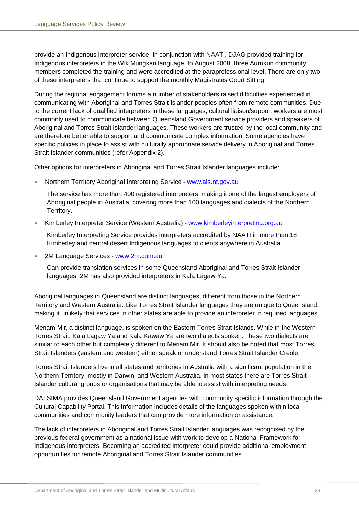provide an Indigenous interpreter service. In conjunction with NAATI, DJAG provided training for Indigenous interpreters in the Wik Mungkan language. In August 2008, three Aurukun community members completed the training and were accredited at the paraprofessional level. There are only two of these interpreters that continue to support the monthly Magistrates Court Sitting.

During the regional engagement forums a number of stakeholders raised difficulties experienced in communicating with Aboriginal and Torres Strait Islander peoples often from remote communities. Due to the current lack of qualified interpreters in these languages, cultural liaison/support workers are most commonly used to communicate between Queensland Government service providers and speakers of Aboriginal and Torres Strait Islander languages. These workers are trusted by the local community and are therefore better able to support and communicate complex information. Some agencies have specific policies in place to assist with culturally appropriate service delivery in Aboriginal and Torres Strait Islander communities (refer Appendix 2).

Other options for interpreters in Aboriginal and Torres Strait Islander languages include:

• Northern Territory Aboriginal Interpreting Service - [www.ais.nt.gov.au](http://www.ais.nt.gov.au/)

The service has more than 400 registered interpreters, making it one of the largest employers of Aboriginal people in Australia, covering more than 100 languages and dialects of the Northern Territory.

• Kimberley Interpreter Service (Western Australia) - [www.kimberleyinterpreting.org.au](http://www.kimberleyinterpreting.org.au/)

Kimberley Interpreting Service provides interpreters accredited by NAATI in more than 18 Kimberley and central desert Indigenous languages to clients anywhere in Australia.

2M Language Services - [www.2m.com.au](http://www.2m.com.au/)

Can provide translation services in some Queensland Aboriginal and Torres Strait Islander languages. 2M has also provided interpreters in Kala Lagaw Ya.

Aboriginal languages in Queensland are distinct languages, different from those in the Northern Territory and Western Australia. Like Torres Strait Islander languages they are unique to Queensland, making it unlikely that services in other states are able to provide an interpreter in required languages.

Meriam Mir, a distinct language, is spoken on the Eastern Torres Strait Islands. While in the Western Torres Strait, Kala Lagaw Ya and Kala Kawaw Ya are two dialects spoken. These two dialects are similar to each other but completely different to Meriam Mir. It should also be noted that most Torres Strait Islanders (eastern and western) either speak or understand Torres Strait Islander Creole.

Torres Strait Islanders live in all states and territories in Australia with a significant population in the Northern Territory, mostly in Darwin, and Western Australia. In most states there are Torres Strait Islander cultural groups or organisations that may be able to assist with interpreting needs.

DATSIMA provides Queensland Government agencies with community specific information through the Cultural Capability Portal. This information includes details of the languages spoken within local communities and community leaders that can provide more information or assistance.

The lack of interpreters in Aboriginal and Torres Strait Islander languages was recognised by the previous federal government as a national issue with work to develop a National Framework for Indigenous Interpreters. Becoming an accredited interpreter could provide additional employment opportunities for remote Aboriginal and Torres Strait Islander communities.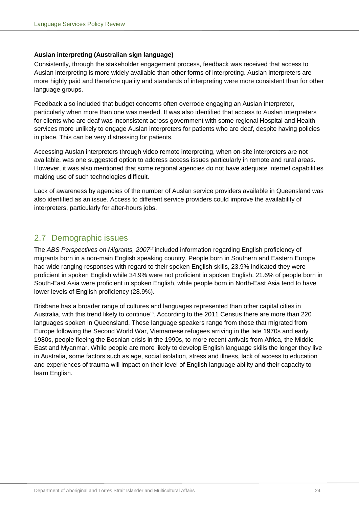## **Auslan interpreting (Australian sign language)**

Consistently, through the stakeholder engagement process, feedback was received that access to Auslan interpreting is more widely available than other forms of interpreting. Auslan interpreters are more highly paid and therefore quality and standards of interpreting were more consistent than for other language groups.

Feedback also included that budget concerns often overrode engaging an Auslan interpreter, particularly when more than one was needed. It was also identified that access to Auslan interpreters for clients who are deaf was inconsistent across government with some regional Hospital and Health services more unlikely to engage Auslan interpreters for patients who are deaf, despite having policies in place. This can be very distressing for patients.

Accessing Auslan interpreters through video remote interpreting, when on-site interpreters are not available, was one suggested option to address access issues particularly in remote and rural areas. However, it was also mentioned that some regional agencies do not have adequate internet capabilities making use of such technologies difficult.

Lack of awareness by agencies of the number of Auslan service providers available in Queensland was also identified as an issue. Access to different service providers could improve the availability of interpreters, particularly for after-hours jobs.

## <span id="page-25-0"></span>2.7 Demographic issues

The *ABS Perspectives on Migrants, 2007*<sup>7</sup> included information regarding English proficiency of migrants born in a non-main English speaking country. People born in Southern and Eastern Europe had wide ranging responses with regard to their spoken English skills, 23.9% indicated they were proficient in spoken English while 34.9% were not proficient in spoken English. 21.6% of people born in South-East Asia were proficient in spoken English, while people born in North-East Asia tend to have lower levels of English proficiency (28.9%).

Brisbane has a broader range of cultures and languages represented than other capital cities in Australia, with this trend likely to continue<sup>18</sup>. According to the 2011 Census there are more than 220 languages spoken in Queensland. These language speakers range from those that migrated from Europe following the Second World War, Vietnamese refugees arriving in the late 1970s and early 1980s, people fleeing the Bosnian crisis in the 1990s, to more recent arrivals from Africa, the Middle East and Myanmar. While people are more likely to develop English language skills the longer they live in Australia, some factors such as age, social isolation, stress and illness, lack of access to education and experiences of trauma will impact on their level of English language ability and their capacity to learn English.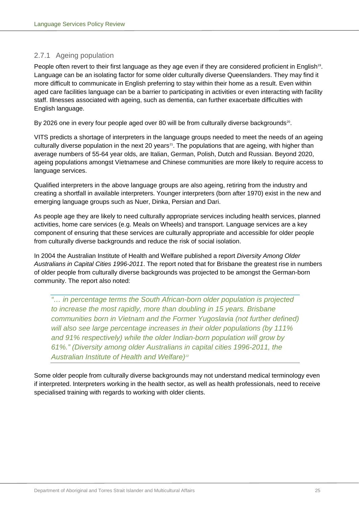## <span id="page-26-0"></span>2.7.1 Ageing population

People often revert to their first language as they age even if they are considered proficient in English<sup>19</sup>. Language can be an isolating factor for some older culturally diverse Queenslanders. They may find it more difficult to communicate in English preferring to stay within their home as a result. Even within aged care facilities language can be a barrier to participating in activities or even interacting with facility staff. Illnesses associated with ageing, such as dementia, can further exacerbate difficulties with English language.

By [20](#page-59-20)26 one in every four people aged over 80 will be from culturally diverse backgrounds<sup>20</sup>.

VITS predicts a shortage of interpreters in the language groups needed to meet the needs of an ageing culturally diverse population in the next 20 years<sup>21</sup>. The populations that are ageing, with higher than average numbers of 55-64 year olds, are Italian, German, Polish, Dutch and Russian. Beyond 2020, ageing populations amongst Vietnamese and Chinese communities are more likely to require access to language services.

Qualified interpreters in the above language groups are also ageing, retiring from the industry and creating a shortfall in available interpreters. Younger interpreters (born after 1970) exist in the new and emerging language groups such as Nuer, Dinka, Persian and Dari.

As people age they are likely to need culturally appropriate services including health services, planned activities, home care services (e.g. Meals on Wheels) and transport. Language services are a key component of ensuring that these services are culturally appropriate and accessible for older people from culturally diverse backgrounds and reduce the risk of social isolation.

In 2004 the Australian Institute of Health and Welfare published a report *Diversity Among Older Australians in Capital Cities 1996-2011*. The report noted that for Brisbane the greatest rise in numbers of older people from culturally diverse backgrounds was projected to be amongst the German-born community. The report also noted:

*"… in percentage terms the South African-born older population is projected to increase the most rapidly, more than doubling in 15 years. Brisbane communities born in Vietnam and the Former Yugoslavia (not further defined) will also see large percentage increases in their older populations (by 111% and 91% respectively) while the older Indian-born population will grow by 61%." (Diversity among older Australians in capital cities 1996-2011, the Australian Institute of Health and Welfare)[22](#page-59-22)*

Some older people from culturally diverse backgrounds may not understand medical terminology even if interpreted. Interpreters working in the health sector, as well as health professionals, need to receive specialised training with regards to working with older clients.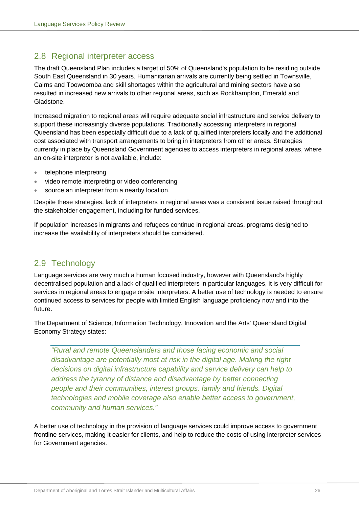## <span id="page-27-0"></span>2.8 Regional interpreter access

The draft Queensland Plan includes a target of 50% of Queensland's population to be residing outside South East Queensland in 30 years. Humanitarian arrivals are currently being settled in Townsville, Cairns and Toowoomba and skill shortages within the agricultural and mining sectors have also resulted in increased new arrivals to other regional areas, such as Rockhampton, Emerald and Gladstone.

Increased migration to regional areas will require adequate social infrastructure and service delivery to support these increasingly diverse populations. Traditionally accessing interpreters in regional Queensland has been especially difficult due to a lack of qualified interpreters locally and the additional cost associated with transport arrangements to bring in interpreters from other areas. Strategies currently in place by Queensland Government agencies to access interpreters in regional areas, where an on-site interpreter is not available, include:

- telephone interpreting
- video remote interpreting or video conferencing
- source an interpreter from a nearby location.

Despite these strategies, lack of interpreters in regional areas was a consistent issue raised throughout the stakeholder engagement, including for funded services.

If population increases in migrants and refugees continue in regional areas, programs designed to increase the availability of interpreters should be considered.

## <span id="page-27-1"></span>2.9 Technology

Language services are very much a human focused industry, however with Queensland's highly decentralised population and a lack of qualified interpreters in particular languages, it is very difficult for services in regional areas to engage onsite interpreters. A better use of technology is needed to ensure continued access to services for people with limited English language proficiency now and into the future.

The Department of Science, Information Technology, Innovation and the Arts' Queensland Digital Economy Strategy states:

*"Rural and remote Queenslanders and those facing economic and social disadvantage are potentially most at risk in the digital age. Making the right decisions on digital infrastructure capability and service delivery can help to address the tyranny of distance and disadvantage by better connecting people and their communities, interest groups, family and friends. Digital technologies and mobile coverage also enable better access to government, community and human services."*

A better use of technology in the provision of language services could improve access to government frontline services, making it easier for clients, and help to reduce the costs of using interpreter services for Government agencies.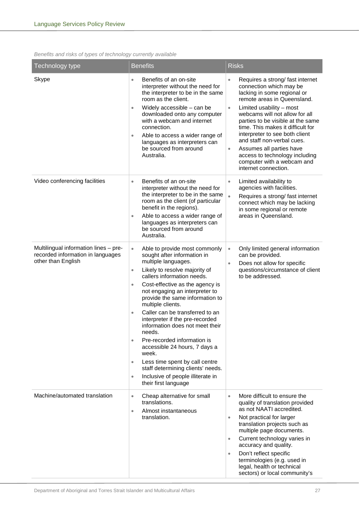## *Benefits and risks of types of technology currently available*

| Technology type                                                                                  | <b>Benefits</b>                                                                                                                                                                                                                                                                                                                                                                                                                                                                                                                                                                                                                                                                                            | <b>Risks</b>                                                                                                                                                                                                                                                                                                                                                                                                                                                                                 |
|--------------------------------------------------------------------------------------------------|------------------------------------------------------------------------------------------------------------------------------------------------------------------------------------------------------------------------------------------------------------------------------------------------------------------------------------------------------------------------------------------------------------------------------------------------------------------------------------------------------------------------------------------------------------------------------------------------------------------------------------------------------------------------------------------------------------|----------------------------------------------------------------------------------------------------------------------------------------------------------------------------------------------------------------------------------------------------------------------------------------------------------------------------------------------------------------------------------------------------------------------------------------------------------------------------------------------|
| Skype                                                                                            | Benefits of an on-site<br>$\bullet$<br>interpreter without the need for<br>the interpreter to be in the same<br>room as the client.<br>Widely accessible - can be<br>$\bullet$<br>downloaded onto any computer<br>with a webcam and internet<br>connection.<br>Able to access a wider range of<br>$\bullet$<br>languages as interpreters can<br>be sourced from around<br>Australia.                                                                                                                                                                                                                                                                                                                       | Requires a strong/ fast internet<br>$\bullet$<br>connection which may be<br>lacking in some regional or<br>remote areas in Queensland.<br>Limited usability – most<br>$\bullet$<br>webcams will not allow for all<br>parties to be visible at the same<br>time. This makes it difficult for<br>interpreter to see both client<br>and staff non-verbal cues.<br>Assumes all parties have<br>$\bullet$<br>access to technology including<br>computer with a webcam and<br>internet connection. |
| Video conferencing facilities                                                                    | Benefits of an on-site<br>$\bullet$<br>interpreter without the need for<br>the interpreter to be in the same<br>room as the client (of particular<br>benefit in the regions).<br>Able to access a wider range of<br>$\bullet$<br>languages as interpreters can<br>be sourced from around<br>Australia.                                                                                                                                                                                                                                                                                                                                                                                                     | Limited availability to<br>$\bullet$<br>agencies with facilities.<br>Requires a strong/ fast internet<br>$\bullet$<br>connect which may be lacking<br>in some regional or remote<br>areas in Queensland.                                                                                                                                                                                                                                                                                     |
| Multilingual information lines - pre-<br>recorded information in languages<br>other than English | Able to provide most commonly<br>$\bullet$<br>sought after information in<br>multiple languages.<br>Likely to resolve majority of<br>$\bullet$<br>callers information needs.<br>Cost-effective as the agency is<br>$\bullet$<br>not engaging an interpreter to<br>provide the same information to<br>multiple clients.<br>Caller can be transferred to an<br>$\bullet$<br>interpreter if the pre-recorded<br>information does not meet their<br>needs.<br>Pre-recorded information is<br>$\bullet$<br>accessible 24 hours, 7 days a<br>week.<br>Less time spent by call centre<br>$\bullet$<br>staff determining clients' needs.<br>Inclusive of people illiterate in<br>$\bullet$<br>their first language | Only limited general information<br>$\bullet$<br>can be provided.<br>Does not allow for specific<br>$\bullet$<br>questions/circumstance of client<br>to be addressed.                                                                                                                                                                                                                                                                                                                        |
| Machine/automated translation                                                                    | Cheap alternative for small<br>$\bullet$<br>translations.<br>Almost instantaneous<br>$\bullet$<br>translation.                                                                                                                                                                                                                                                                                                                                                                                                                                                                                                                                                                                             | More difficult to ensure the<br>$\bullet$<br>quality of translation provided<br>as not NAATI accredited.<br>Not practical for larger<br>$\bullet$<br>translation projects such as<br>multiple page documents.<br>Current technology varies in<br>$\bullet$<br>accuracy and quality.<br>Don't reflect specific<br>$\bullet$<br>terminologies (e.g. used in<br>legal, health or technical<br>sectors) or local community's                                                                     |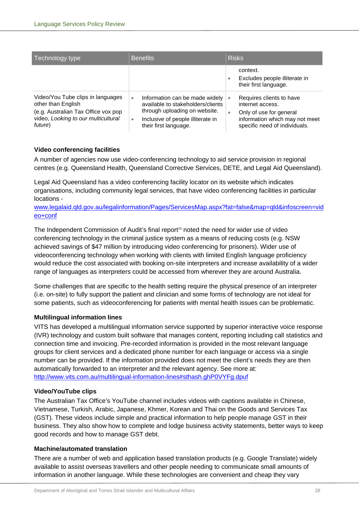| Technology type                                                                                                                                  | <b>Benefits</b>                                                                                                                                                              | <b>Risks</b>                                                                                                                                                 |  |
|--------------------------------------------------------------------------------------------------------------------------------------------------|------------------------------------------------------------------------------------------------------------------------------------------------------------------------------|--------------------------------------------------------------------------------------------------------------------------------------------------------------|--|
|                                                                                                                                                  |                                                                                                                                                                              | context.<br>Excludes people illiterate in<br>٠<br>their first language.                                                                                      |  |
| Video/You Tube clips in languages<br>other than English<br>(e.g. Australian Tax Office vox pop<br>video, Looking to our multicultural<br>future) | Information can be made widely<br>٠<br>available to stakeholders/clients<br>through uploading on website.<br>Inclusive of people illiterate in<br>٠<br>their first language. | Requires clients to have<br>$\bullet$<br>internet access.<br>Only of use for general<br>۰<br>information which may not meet<br>specific need of individuals. |  |

## **Video conferencing facilities**

A number of agencies now use video-conferencing technology to aid service provision in regional centres (e.g. Queensland Health, Queensland Corrective Services, DETE, and Legal Aid Queensland).

Legal Aid Queensland has a video conferencing facility locator on its website which indicates organisations, including community legal services, that have video conferencing facilities in particular locations -

[www.legalaid.qld.gov.au/legalinformation/Pages/ServicesMap.aspx?fat=false&map=qld&infoscreen=vid](http://www.legalaid.qld.gov.au/legalinformation/Pages/ServicesMap.aspx?fat=false&map=qld&infoscreen=video+conf) [eo+conf](http://www.legalaid.qld.gov.au/legalinformation/Pages/ServicesMap.aspx?fat=false&map=qld&infoscreen=video+conf)

The Independent Commission of Audit's final report<sup>[23](#page-59-23)</sup> noted the need for wider use of video conferencing technology in the criminal justice system as a means of reducing costs (e.g. NSW achieved savings of \$47 million by introducing video conferencing for prisoners). Wider use of videoconferencing technology when working with clients with limited English language proficiency would reduce the cost associated with booking on-site interpreters and increase availability of a wider range of languages as interpreters could be accessed from wherever they are around Australia.

Some challenges that are specific to the health setting require the physical presence of an interpreter (i.e. on-site) to fully support the patient and clinician and some forms of technology are not ideal for some patients, such as videoconferencing for patients with mental health issues can be problematic.

## **Multilingual information lines**

VITS has developed a multilingual information service supported by superior interactive voice response (IVR) technology and custom built software that manages content, reporting including call statistics and connection time and invoicing. Pre-recorded information is provided in the most relevant language groups for client services and a dedicated phone number for each language or access via a single number can be provided. If the information provided does not meet the client's needs they are then automatically forwarded to an interpreter and the relevant agency. See more at: [http://www.vits.com.au/multilingual-information-lines#sthash.ghP0VYFg.dpuf](http://www.vits.com.au/multilingual-information-lines%23sthash.ghP0VYFg.dpuf)

## **Video/YouTube clips**

The Australian Tax Office's YouTube channel includes videos with captions available in Chinese, Vietnamese, Turkish, Arabic, Japanese, Khmer, Korean and Thai on the Goods and Services Tax (GST). These videos include simple and practical information to help people manage GST in their business. They also show how to complete and lodge business activity statements, better ways to keep good records and how to manage GST debt.

## **Machine/automated translation**

There are a number of web and application based translation products (e.g. Google Translate) widely available to assist overseas travellers and other people needing to communicate small amounts of information in another language. While these technologies are convenient and cheap they vary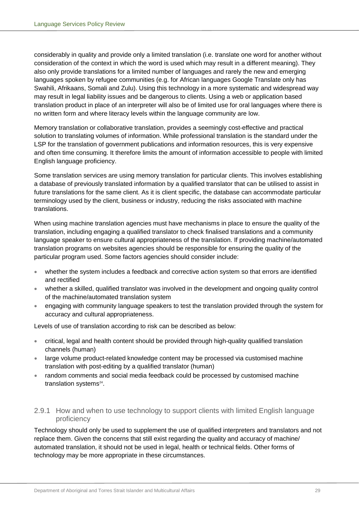considerably in quality and provide only a limited translation (i.e. translate one word for another without consideration of the context in which the word is used which may result in a different meaning). They also only provide translations for a limited number of languages and rarely the new and emerging languages spoken by refugee communities (e.g. for African languages Google Translate only has Swahili, Afrikaans, Somali and Zulu). Using this technology in a more systematic and widespread way may result in legal liability issues and be dangerous to clients. Using a web or application based translation product in place of an interpreter will also be of limited use for oral languages where there is no written form and where literacy levels within the language community are low.

Memory translation or collaborative translation, provides a seemingly cost-effective and practical solution to translating volumes of information. While professional translation is the standard under the LSP for the translation of government publications and information resources, this is very expensive and often time consuming. It therefore limits the amount of information accessible to people with limited English language proficiency.

Some translation services are using memory translation for particular clients. This involves establishing a database of previously translated information by a qualified translator that can be utilised to assist in future translations for the same client. As it is client specific, the database can accommodate particular terminology used by the client, business or industry, reducing the risks associated with machine translations.

When using machine translation agencies must have mechanisms in place to ensure the quality of the translation, including engaging a qualified translator to check finalised translations and a community language speaker to ensure cultural appropriateness of the translation. If providing machine/automated translation programs on websites agencies should be responsible for ensuring the quality of the particular program used. Some factors agencies should consider include:

- whether the system includes a feedback and corrective action system so that errors are identified and rectified
- whether a skilled, qualified translator was involved in the development and ongoing quality control of the machine/automated translation system
- engaging with community language speakers to test the translation provided through the system for accuracy and cultural appropriateness.

Levels of use of translation according to risk can be described as below:

- critical, legal and health content should be provided through high-quality qualified translation channels (human)
- large volume product-related knowledge content may be processed via customised machine translation with post-editing by a qualified translator (human)
- random comments and social media feedback could be processed by customised machine translation systems<sup>24</sup>.

## <span id="page-30-0"></span>2.9.1 How and when to use technology to support clients with limited English language proficiency

Technology should only be used to supplement the use of qualified interpreters and translators and not replace them. Given the concerns that still exist regarding the quality and accuracy of machine/ automated translation, it should not be used in legal, health or technical fields. Other forms of technology may be more appropriate in these circumstances.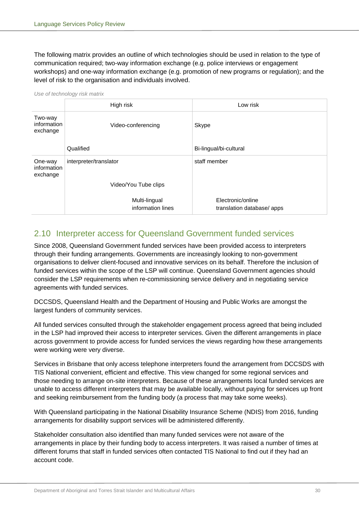The following matrix provides an outline of which technologies should be used in relation to the type of communication required; two-way information exchange (e.g. police interviews or engagement workshops) and one-way information exchange (e.g. promotion of new programs or regulation); and the level of risk to the organisation and individuals involved.

|                                    | High risk                          | Low risk                                       |  |
|------------------------------------|------------------------------------|------------------------------------------------|--|
| Two-way<br>information<br>exchange | Video-conferencing                 | Skype                                          |  |
|                                    | Qualified                          | Bi-lingual/bi-cultural                         |  |
| One-way<br>information<br>exchange | interpreter/translator             | staff member                                   |  |
|                                    | Video/You Tube clips               |                                                |  |
|                                    | Multi-lingual<br>information lines | Electronic/online<br>translation database/apps |  |

*Use of technology risk matrix*

## <span id="page-31-0"></span>2.10 Interpreter access for Queensland Government funded services

Since 2008, Queensland Government funded services have been provided access to interpreters through their funding arrangements. Governments are increasingly looking to non-government organisations to deliver client-focused and innovative services on its behalf. Therefore the inclusion of funded services within the scope of the LSP will continue. Queensland Government agencies should consider the LSP requirements when re-commissioning service delivery and in negotiating service agreements with funded services.

DCCSDS, Queensland Health and the Department of Housing and Public Works are amongst the largest funders of community services.

All funded services consulted through the stakeholder engagement process agreed that being included in the LSP had improved their access to interpreter services. Given the different arrangements in place across government to provide access for funded services the views regarding how these arrangements were working were very diverse.

Services in Brisbane that only access telephone interpreters found the arrangement from DCCSDS with TIS National convenient, efficient and effective. This view changed for some regional services and those needing to arrange on-site interpreters. Because of these arrangements local funded services are unable to access different interpreters that may be available locally, without paying for services up front and seeking reimbursement from the funding body (a process that may take some weeks).

With Queensland participating in the National Disability Insurance Scheme (NDIS) from 2016, funding arrangements for disability support services will be administered differently.

Stakeholder consultation also identified than many funded services were not aware of the arrangements in place by their funding body to access interpreters. It was raised a number of times at different forums that staff in funded services often contacted TIS National to find out if they had an account code.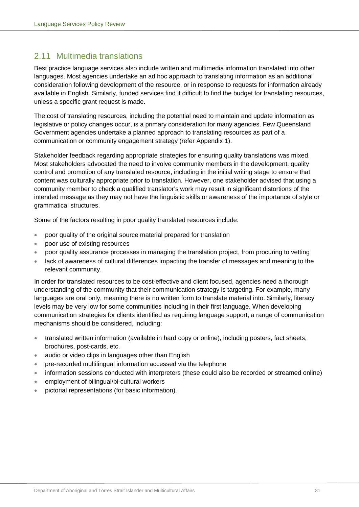## <span id="page-32-0"></span>2.11 Multimedia translations

Best practice language services also include written and multimedia information translated into other languages. Most agencies undertake an ad hoc approach to translating information as an additional consideration following development of the resource, or in response to requests for information already available in English. Similarly, funded services find it difficult to find the budget for translating resources, unless a specific grant request is made.

The cost of translating resources, including the potential need to maintain and update information as legislative or policy changes occur, is a primary consideration for many agencies. Few Queensland Government agencies undertake a planned approach to translating resources as part of a communication or community engagement strategy (refer Appendix 1).

Stakeholder feedback regarding appropriate strategies for ensuring quality translations was mixed. Most stakeholders advocated the need to involve community members in the development, quality control and promotion of any translated resource, including in the initial writing stage to ensure that content was culturally appropriate prior to translation. However, one stakeholder advised that using a community member to check a qualified translator's work may result in significant distortions of the intended message as they may not have the linguistic skills or awareness of the importance of style or grammatical structures.

Some of the factors resulting in poor quality translated resources include:

- poor quality of the original source material prepared for translation
- poor use of existing resources
- poor quality assurance processes in managing the translation project, from procuring to vetting
- lack of awareness of cultural differences impacting the transfer of messages and meaning to the relevant community.

In order for translated resources to be cost-effective and client focused, agencies need a thorough understanding of the community that their communication strategy is targeting. For example, many languages are oral only, meaning there is no written form to translate material into. Similarly, literacy levels may be very low for some communities including in their first language. When developing communication strategies for clients identified as requiring language support, a range of communication mechanisms should be considered, including:

- translated written information (available in hard copy or online), including posters, fact sheets, brochures, post-cards, etc.
- audio or video clips in languages other than English
- pre-recorded multilingual information accessed via the telephone
- information sessions conducted with interpreters (these could also be recorded or streamed online)
- employment of bilingual/bi-cultural workers
- pictorial representations (for basic information).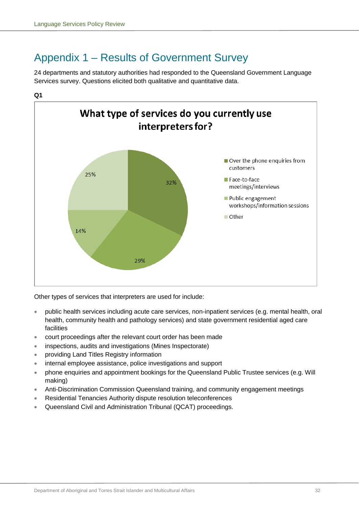# <span id="page-33-0"></span>Appendix 1 – Results of Government Survey

24 departments and statutory authorities had responded to the Queensland Government Language Services survey. Questions elicited both qualitative and quantitative data.





Other types of services that interpreters are used for include:

- public health services including acute care services, non-inpatient services (e.g. mental health, oral health, community health and pathology services) and state government residential aged care facilities
- court proceedings after the relevant court order has been made
- inspections, audits and investigations (Mines Inspectorate)
- providing Land Titles Registry information
- internal employee assistance, police investigations and support
- phone enquiries and appointment bookings for the Queensland Public Trustee services (e.g. Will making)
- Anti-Discrimination Commission Queensland training, and community engagement meetings
- Residential Tenancies Authority dispute resolution teleconferences
- Queensland Civil and Administration Tribunal (QCAT) proceedings.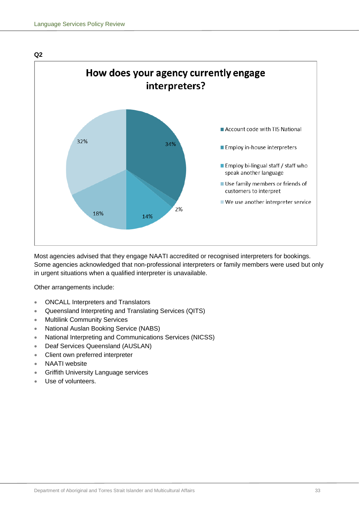

Most agencies advised that they engage NAATI accredited or recognised interpreters for bookings. Some agencies acknowledged that non-professional interpreters or family members were used but only in urgent situations when a qualified interpreter is unavailable.

Other arrangements include:

- ONCALL Interpreters and Translators
- Queensland Interpreting and Translating Services (QITS)
- Multilink Community Services
- National Auslan Booking Service (NABS)
- National Interpreting and Communications Services (NICSS)
- Deaf Services Queensland (AUSLAN)
- Client own preferred interpreter
- NAATI website
- Griffith University Language services
- Use of volunteers.

**Q2**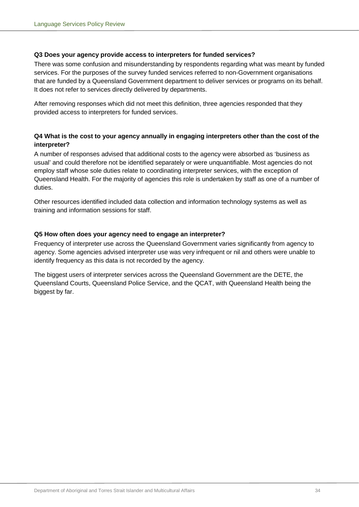## **Q3 Does your agency provide access to interpreters for funded services?**

There was some confusion and misunderstanding by respondents regarding what was meant by funded services. For the purposes of the survey funded services referred to non-Government organisations that are funded by a Queensland Government department to deliver services or programs on its behalf. It does not refer to services directly delivered by departments.

After removing responses which did not meet this definition, three agencies responded that they provided access to interpreters for funded services.

## **Q4 What is the cost to your agency annually in engaging interpreters other than the cost of the interpreter?**

A number of responses advised that additional costs to the agency were absorbed as 'business as usual' and could therefore not be identified separately or were unquantifiable. Most agencies do not employ staff whose sole duties relate to coordinating interpreter services, with the exception of Queensland Health. For the majority of agencies this role is undertaken by staff as one of a number of duties.

Other resources identified included data collection and information technology systems as well as training and information sessions for staff.

## **Q5 How often does your agency need to engage an interpreter?**

Frequency of interpreter use across the Queensland Government varies significantly from agency to agency. Some agencies advised interpreter use was very infrequent or nil and others were unable to identify frequency as this data is not recorded by the agency.

The biggest users of interpreter services across the Queensland Government are the DETE, the Queensland Courts, Queensland Police Service, and the QCAT, with Queensland Health being the biggest by far.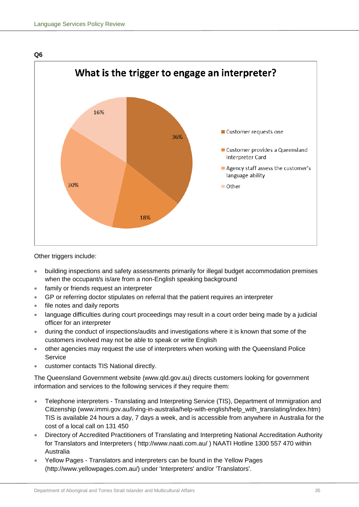

Other triggers include:

- building inspections and safety assessments primarily for illegal budget accommodation premises when the occupant/s is/are from a non-English speaking background
- family or friends request an interpreter
- GP or referring doctor stipulates on referral that the patient requires an interpreter
- file notes and daily reports
- language difficulties during court proceedings may result in a court order being made by a judicial officer for an interpreter
- during the conduct of inspections/audits and investigations where it is known that some of the customers involved may not be able to speak or write English
- other agencies may request the use of interpreters when working with the Queensland Police Service
- customer contacts TIS National directly.

The Queensland Government website (www.qld.gov.au) directs customers looking for government information and services to the following services if they require them:

- Telephone interpreters Translating and Interpreting Service (TIS), Department of Immigration and Citizenship (www.immi.gov.au/living-in-australia/help-with-english/help\_with\_translating/index.htm) TIS is available 24 hours a day, 7 days a week, and is accessible from anywhere in Australia for the cost of a local call on 131 450
- Directory of Accredited Practitioners of Translating and Interpreting National Accreditation Authority for Translators and Interpreters ( http://www.naati.com.au/ ) NAATI Hotline 1300 557 470 within Australia
- Yellow Pages Translators and interpreters can be found in the Yellow Pages (http://www.yellowpages.com.au/) under 'Interpreters' and/or 'Translators'.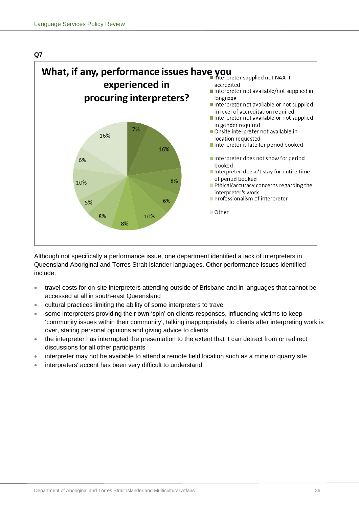

Although not specifically a performance issue, one department identified a lack of interpreters in Queensland Aboriginal and Torres Strait Islander languages. Other performance issues identified include:

- travel costs for on-site interpreters attending outside of Brisbane and in languages that cannot be accessed at all in south-east Queensland
- cultural practices limiting the ability of some interpreters to travel
- some interpreters providing their own 'spin' on clients responses, influencing victims to keep 'community issues within their community', talking inappropriately to clients after interpreting work is over, stating personal opinions and giving advice to clients
- the interpreter has interrupted the presentation to the extent that it can detract from or redirect discussions for all other participants
- interpreter may not be available to attend a remote field location such as a mine or quarry site
- interpreters' accent has been very difficult to understand.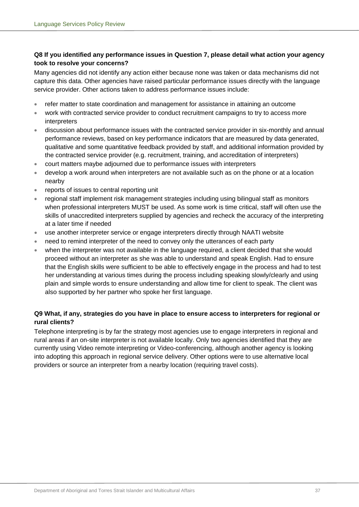## **Q8 If you identified any performance issues in Question 7, please detail what action your agency took to resolve your concerns?**

Many agencies did not identify any action either because none was taken or data mechanisms did not capture this data. Other agencies have raised particular performance issues directly with the language service provider. Other actions taken to address performance issues include:

- refer matter to state coordination and management for assistance in attaining an outcome
- work with contracted service provider to conduct recruitment campaigns to try to access more interpreters
- discussion about performance issues with the contracted service provider in six-monthly and annual performance reviews, based on key performance indicators that are measured by data generated, qualitative and some quantitative feedback provided by staff, and additional information provided by the contracted service provider (e.g. recruitment, training, and accreditation of interpreters)
- court matters maybe adjourned due to performance issues with interpreters
- develop a work around when interpreters are not available such as on the phone or at a location nearby
- reports of issues to central reporting unit
- regional staff implement risk management strategies including using bilingual staff as monitors when professional interpreters MUST be used. As some work is time critical, staff will often use the skills of unaccredited interpreters supplied by agencies and recheck the accuracy of the interpreting at a later time if needed
- use another interpreter service or engage interpreters directly through NAATI website
- need to remind interpreter of the need to convey only the utterances of each party
- when the interpreter was not available in the language required, a client decided that she would proceed without an interpreter as she was able to understand and speak English. Had to ensure that the English skills were sufficient to be able to effectively engage in the process and had to test her understanding at various times during the process including speaking slowly/clearly and using plain and simple words to ensure understanding and allow time for client to speak. The client was also supported by her partner who spoke her first language.

## **Q9 What, if any, strategies do you have in place to ensure access to interpreters for regional or rural clients?**

Telephone interpreting is by far the strategy most agencies use to engage interpreters in regional and rural areas if an on-site interpreter is not available locally. Only two agencies identified that they are currently using Video remote interpreting or Video-conferencing, although another agency is looking into adopting this approach in regional service delivery. Other options were to use alternative local providers or source an interpreter from a nearby location (requiring travel costs).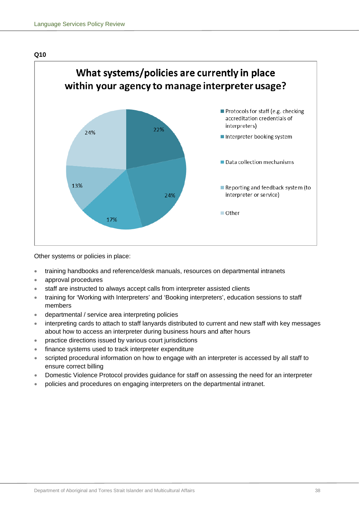



Other systems or policies in place:

- training handbooks and reference/desk manuals, resources on departmental intranets
- approval procedures
- staff are instructed to always accept calls from interpreter assisted clients
- training for 'Working with Interpreters' and 'Booking interpreters', education sessions to staff members
- departmental / service area interpreting policies
- interpreting cards to attach to staff lanyards distributed to current and new staff with key messages about how to access an interpreter during business hours and after hours
- practice directions issued by various court jurisdictions
- finance systems used to track interpreter expenditure
- scripted procedural information on how to engage with an interpreter is accessed by all staff to ensure correct billing
- Domestic Violence Protocol provides guidance for staff on assessing the need for an interpreter
- policies and procedures on engaging interpreters on the departmental intranet.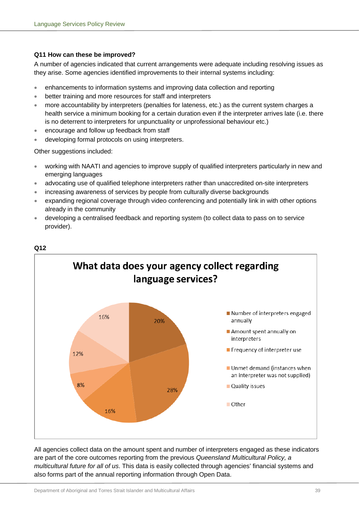## **Q11 How can these be improved?**

A number of agencies indicated that current arrangements were adequate including resolving issues as they arise. Some agencies identified improvements to their internal systems including:

- enhancements to information systems and improving data collection and reporting
- better training and more resources for staff and interpreters
- more accountability by interpreters (penalties for lateness, etc.) as the current system charges a health service a minimum booking for a certain duration even if the interpreter arrives late (i.e. there is no deterrent to interpreters for unpunctuality or unprofessional behaviour etc.)
- encourage and follow up feedback from staff
- developing formal protocols on using interpreters.

Other suggestions included:

- working with NAATI and agencies to improve supply of qualified interpreters particularly in new and emerging languages
- advocating use of qualified telephone interpreters rather than unaccredited on-site interpreters
- increasing awareness of services by people from culturally diverse backgrounds
- expanding regional coverage through video conferencing and potentially link in with other options already in the community
- developing a centralised feedback and reporting system (to collect data to pass on to service provider).



# **Q12**

All agencies collect data on the amount spent and number of interpreters engaged as these indicators are part of the core outcomes reporting from the previous *Queensland Multicultural Policy, a multicultural future for all of us*. This data is easily collected through agencies' financial systems and also forms part of the annual reporting information through Open Data.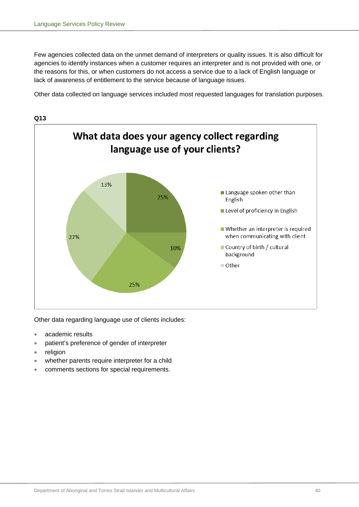Few agencies collected data on the unmet demand of interpreters or quality issues. It is also difficult for agencies to identify instances when a customer requires an interpreter and is not provided with one, or the reasons for this, or when customers do not access a service due to a lack of English language or lack of awareness of entitlement to the service because of language issues.

Other data collected on language services included most requested languages for translation purposes.



Other data regarding language use of clients includes:

- academic results
- patient's preference of gender of interpreter
- religion
- whether parents require interpreter for a child
- comments sections for special requirements.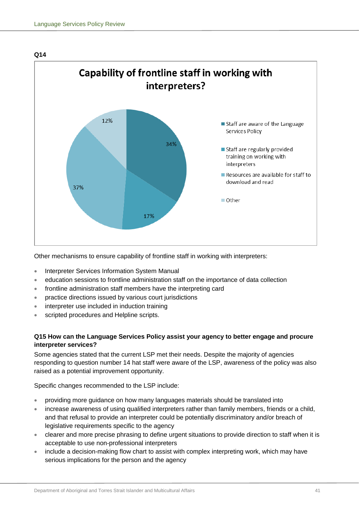

Other mechanisms to ensure capability of frontline staff in working with interpreters:

- Interpreter Services Information System Manual
- education sessions to frontline administration staff on the importance of data collection
- frontline administration staff members have the interpreting card
- practice directions issued by various court jurisdictions
- interpreter use included in induction training
- scripted procedures and Helpline scripts.

## **Q15 How can the Language Services Policy assist your agency to better engage and procure interpreter services?**

Some agencies stated that the current LSP met their needs. Despite the majority of agencies responding to question number 14 hat staff were aware of the LSP, awareness of the policy was also raised as a potential improvement opportunity.

Specific changes recommended to the LSP include:

- providing more guidance on how many languages materials should be translated into
- increase awareness of using qualified interpreters rather than family members, friends or a child, and that refusal to provide an interpreter could be potentially discriminatory and/or breach of legislative requirements specific to the agency
- clearer and more precise phrasing to define urgent situations to provide direction to staff when it is acceptable to use non-professional interpreters
- include a decision-making flow chart to assist with complex interpreting work, which may have serious implications for the person and the agency

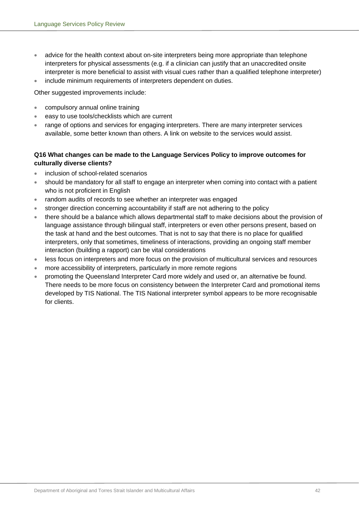- advice for the health context about on-site interpreters being more appropriate than telephone interpreters for physical assessments (e.g. if a clinician can justify that an unaccredited onsite interpreter is more beneficial to assist with visual cues rather than a qualified telephone interpreter)
- include minimum requirements of interpreters dependent on duties.

Other suggested improvements include:

- compulsory annual online training
- easy to use tools/checklists which are current
- range of options and services for engaging interpreters. There are many interpreter services available, some better known than others. A link on website to the services would assist.

## **Q16 What changes can be made to the Language Services Policy to improve outcomes for culturally diverse clients?**

- inclusion of school-related scenarios
- should be mandatory for all staff to engage an interpreter when coming into contact with a patient who is not proficient in English
- random audits of records to see whether an interpreter was engaged
- stronger direction concerning accountability if staff are not adhering to the policy
- there should be a balance which allows departmental staff to make decisions about the provision of language assistance through bilingual staff, interpreters or even other persons present, based on the task at hand and the best outcomes. That is not to say that there is no place for qualified interpreters, only that sometimes, timeliness of interactions, providing an ongoing staff member interaction (building a rapport) can be vital considerations
- less focus on interpreters and more focus on the provision of multicultural services and resources
- more accessibility of interpreters, particularly in more remote regions
- promoting the Queensland Interpreter Card more widely and used or, an alternative be found. There needs to be more focus on consistency between the Interpreter Card and promotional items developed by TIS National. The TIS National interpreter symbol appears to be more recognisable for clients.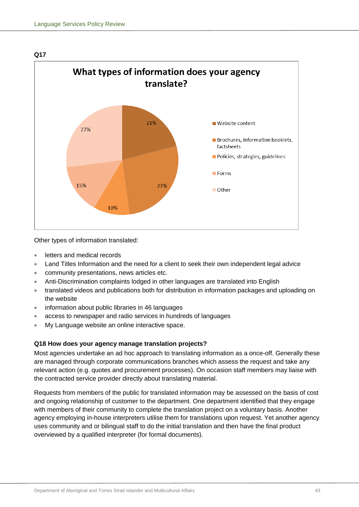

Other types of information translated:

- letters and medical records
- Land Titles Information and the need for a client to seek their own independent legal advice
- community presentations, news articles etc.
- Anti-Discrimination complaints lodged in other languages are translated into English
- translated videos and publications both for distribution in information packages and uploading on the website
- information about public libraries in 46 languages
- access to newspaper and radio services in hundreds of languages
- My Language website an online interactive space.

## **Q18 How does your agency manage translation projects?**

Most agencies undertake an ad hoc approach to translating information as a once-off. Generally these are managed through corporate communications branches which assess the request and take any relevant action (e.g. quotes and procurement processes). On occasion staff members may liaise with the contracted service provider directly about translating material.

Requests from members of the public for translated information may be assessed on the basis of cost and ongoing relationship of customer to the department. One department identified that they engage with members of their community to complete the translation project on a voluntary basis. Another agency employing in-house interpreters utilise them for translations upon request. Yet another agency uses community and or bilingual staff to do the initial translation and then have the final product overviewed by a qualified interpreter (for formal documents).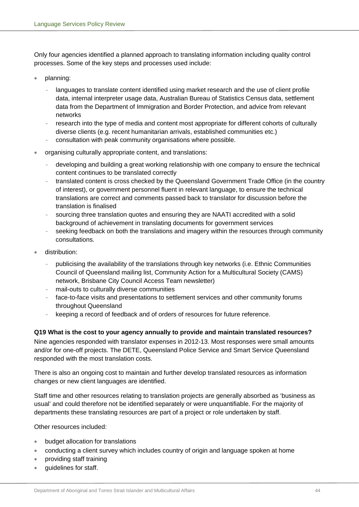Only four agencies identified a planned approach to translating information including quality control processes. Some of the key steps and processes used include:

- planning:
	- languages to translate content identified using market research and the use of client profile data, internal interpreter usage data, Australian Bureau of Statistics Census data, settlement data from the Department of Immigration and Border Protection, and advice from relevant networks
	- research into the type of media and content most appropriate for different cohorts of culturally diverse clients (e.g. recent humanitarian arrivals, established communities etc.)
	- consultation with peak community organisations where possible.
- organising culturally appropriate content, and translations:
	- developing and building a great working relationship with one company to ensure the technical content continues to be translated correctly
	- translated content is cross checked by the Queensland Government Trade Office (in the country of interest), or government personnel fluent in relevant language, to ensure the technical translations are correct and comments passed back to translator for discussion before the translation is finalised
	- sourcing three translation quotes and ensuring they are NAATI accredited with a solid background of achievement in translating documents for government services
	- seeking feedback on both the translations and imagery within the resources through community consultations.
- distribution:
	- publicising the availability of the translations through key networks (i.e. Ethnic Communities Council of Queensland mailing list, Community Action for a Multicultural Society (CAMS) network, Brisbane City Council Access Team newsletter)
	- mail-outs to culturally diverse communities
	- face-to-face visits and presentations to settlement services and other community forums throughout Queensland
	- keeping a record of feedback and of orders of resources for future reference.

## **Q19 What is the cost to your agency annually to provide and maintain translated resources?**

Nine agencies responded with translator expenses in 2012-13. Most responses were small amounts and/or for one-off projects. The DETE, Queensland Police Service and Smart Service Queensland responded with the most translation costs.

There is also an ongoing cost to maintain and further develop translated resources as information changes or new client languages are identified.

Staff time and other resources relating to translation projects are generally absorbed as 'business as usual' and could therefore not be identified separately or were unquantifiable. For the majority of departments these translating resources are part of a project or role undertaken by staff.

Other resources included:

- budget allocation for translations
- conducting a client survey which includes country of origin and language spoken at home
- providing staff training
- quidelines for staff.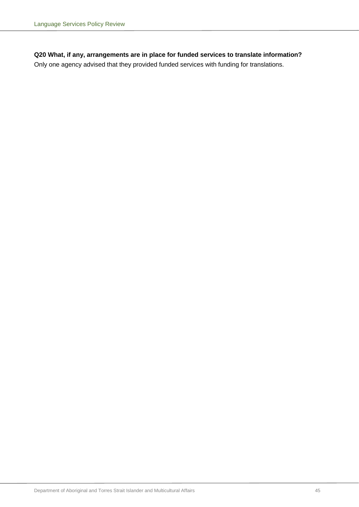## **Q20 What, if any, arrangements are in place for funded services to translate information?**

Only one agency advised that they provided funded services with funding for translations.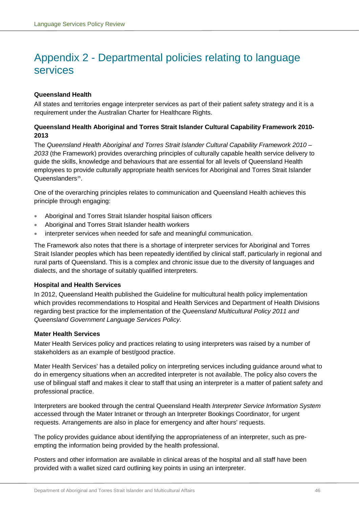## <span id="page-47-0"></span>Appendix 2 - Departmental policies relating to language services

## **Queensland Health**

All states and territories engage interpreter services as part of their patient safety strategy and it is a requirement under the Australian Charter for Healthcare Rights.

## **Queensland Health Aboriginal and Torres Strait Islander Cultural Capability Framework 2010- 2013**

The *Queensland Health Aboriginal and Torres Strait Islander Cultural Capability Framework 2010 – 2033* (the Framework) provides overarching principles of culturally capable health service delivery to guide the skills, knowledge and behaviours that are essential for all levels of Queensland Health employees to provide culturally appropriate health services for Aboriginal and Torres Strait Islander Queenslanders<sup>25</sup>.

One of the overarching principles relates to communication and Queensland Health achieves this principle through engaging:

- Aboriginal and Torres Strait Islander hospital liaison officers
- Aboriginal and Torres Strait Islander health workers
- interpreter services when needed for safe and meaningful communication.

The Framework also notes that there is a shortage of interpreter services for Aboriginal and Torres Strait Islander peoples which has been repeatedly identified by clinical staff, particularly in regional and rural parts of Queensland. This is a complex and chronic issue due to the diversity of languages and dialects, and the shortage of suitably qualified interpreters.

## **Hospital and Health Services**

In 2012, Queensland Health published the Guideline for multicultural health policy implementation which provides recommendations to Hospital and Health Services and Department of Health Divisions regarding best practice for the implementation of the *[Queensland Multicultural Policy 2011 and](http://www.communities.qld.gov.au/multicultural/about-us/queensland-multicultural-policy-a-multicultural-future-for-all-of-us)  [Queensland Government Language Services Policy](http://www.communities.qld.gov.au/multicultural/about-us/queensland-multicultural-policy-a-multicultural-future-for-all-of-us)*.

## **Mater Health Services**

Mater Health Services policy and practices relating to using interpreters was raised by a number of stakeholders as an example of best/good practice.

Mater Health Services' has a detailed policy on interpreting services including guidance around what to do in emergency situations when an accredited interpreter is not available. The policy also covers the use of bilingual staff and makes it clear to staff that using an interpreter is a matter of patient safety and professional practice.

Interpreters are booked through the central Queensland Health *Interpreter Service Information System* accessed through the Mater Intranet or through an Interpreter Bookings Coordinator, for urgent requests. Arrangements are also in place for emergency and after hours' requests.

The policy provides guidance about identifying the appropriateness of an interpreter, such as preempting the information being provided by the health professional.

Posters and other information are available in clinical areas of the hospital and all staff have been provided with a wallet sized card outlining key points in using an interpreter.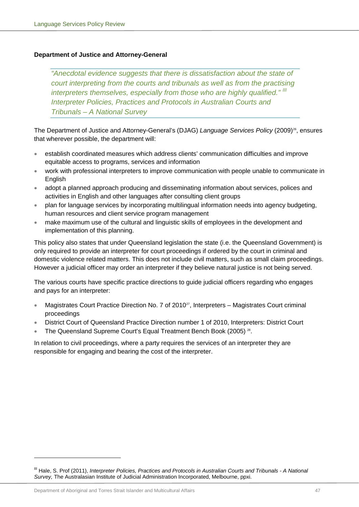## **Department of Justice and Attorney-General**

*"Anecdotal evidence suggests that there is dissatisfaction about the state of court interpreting from the courts and tribunals as well as from the practising interpreters themselves, especially from those who are highly qualified." [III](#page-48-0) Interpreter Policies, Practices and Protocols in Australian Courts and Tribunals – A National Survey*

The Department of Justice and Attorney-General's (DJAG) *Language Services Policy* (2009)<sup>26</sup>, ensures that wherever possible, the department will:

- establish coordinated measures which address clients' communication difficulties and improve equitable access to programs, services and information
- work with professional interpreters to improve communication with people unable to communicate in English
- adopt a planned approach producing and disseminating information about services, polices and activities in English and other languages after consulting client groups
- plan for language services by incorporating multilingual information needs into agency budgeting, human resources and client service program management
- make maximum use of the cultural and linguistic skills of employees in the development and implementation of this planning.

This policy also states that under Queensland legislation the state (i.e. the Queensland Government) is only required to provide an interpreter for court proceedings if ordered by the court in criminal and domestic violence related matters. This does not include civil matters, such as small claim proceedings. However a judicial officer may order an interpreter if they believe natural justice is not being served.

The various courts have specific practice directions to guide judicial officers regarding who engages and pays for an interpreter:

- Magistrates Court Practice Direction No. 7 of 2010<sup>27</sup>, Interpreters Magistrates Court criminal proceedings
- District Court of Queensland Practice Direction number 1 of 2010, Interpreters: District Court
- The Queensland Supreme Court's Equal Treatment Bench Book (2005)<sup>28</sup>.

In relation to civil proceedings, where a party requires the services of an interpreter they are responsible for engaging and bearing the cost of the interpreter.

-

<span id="page-48-0"></span>III Hale, S. Prof (2011), *Interpreter Policies, Practices and Protocols in Australian Courts and Tribunals - A National Survey,* The Australasian Institute of Judicial Administration Incorporated, Melbourne, ppxi.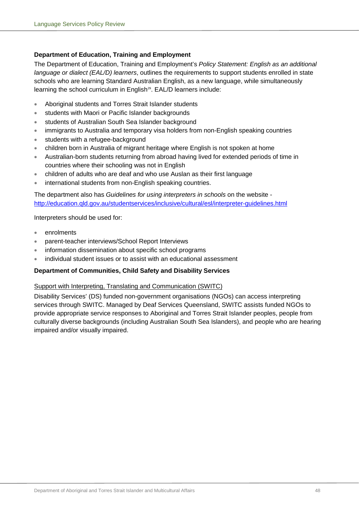## **Department of Education, Training and Employment**

The Department of Education, Training and Employment's *Policy Statement: English as an additional language or dialect (EAL/D) learners*, outlines the requirements to support students enrolled in state schools who are learning Standard Australian English, as a new language, while simultaneously learning the school curriculum in English<sup>29</sup>. EAL/D learners include:

- Aboriginal students and Torres Strait Islander students
- students with Maori or Pacific Islander backgrounds
- students of Australian South Sea Islander background
- immigrants to Australia and temporary visa holders from non-English speaking countries
- students with a refugee-background
- children born in Australia of migrant heritage where English is not spoken at home
- Australian-born students returning from abroad having lived for extended periods of time in countries where their schooling was not in English
- children of adults who are deaf and who use Auslan as their first language
- international students from non-English speaking countries.

The department also has *Guidelines for using interpreters in schools* on the website <http://education.qld.gov.au/studentservices/inclusive/cultural/esl/interpreter-guidelines.html>

#### Interpreters should be used for:

- enrolments
- parent-teacher interviews/School Report Interviews
- information dissemination about specific school programs
- individual student issues or to assist with an educational assessment

## **Department of Communities, Child Safety and Disability Services**

## Support with Interpreting, Translating and Communication (SWITC)

Disability Services' (DS) funded non-government organisations (NGOs) can access interpreting services through [SWITC.](http://www.switc.org.au/) Managed by Deaf Services Queensland, SWITC assists funded NGOs to provide appropriate service responses to Aboriginal and Torres Strait Islander peoples, people from culturally diverse backgrounds (including Australian South Sea Islanders), and people who are hearing impaired and/or visually impaired.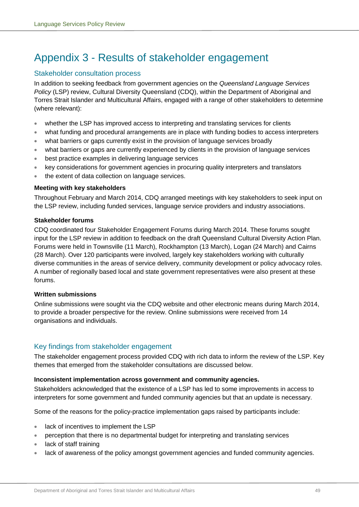# <span id="page-50-0"></span>Appendix 3 - Results of stakeholder engagement

## Stakeholder consultation process

In addition to seeking feedback from government agencies on the *Queensland Language Services Policy* (LSP) review, Cultural Diversity Queensland (CDQ), within the Department of Aboriginal and Torres Strait Islander and Multicultural Affairs, engaged with a range of other stakeholders to determine (where relevant):

- whether the LSP has improved access to interpreting and translating services for clients
- what funding and procedural arrangements are in place with funding bodies to access interpreters
- what barriers or gaps currently exist in the provision of language services broadly
- what barriers or gaps are currently experienced by clients in the provision of language services
- best practice examples in delivering language services
- key considerations for government agencies in procuring quality interpreters and translators
- the extent of data collection on language services.

## **Meeting with key stakeholders**

Throughout February and March 2014, CDQ arranged meetings with key stakeholders to seek input on the LSP review, including funded services, language service providers and industry associations.

## **Stakeholder forums**

CDQ coordinated four Stakeholder Engagement Forums during March 2014. These forums sought input for the LSP review in addition to feedback on the draft Queensland Cultural Diversity Action Plan. Forums were held in Townsville (11 March), Rockhampton (13 March), Logan (24 March) and Cairns (28 March). Over 120 participants were involved, largely key stakeholders working with culturally diverse communities in the areas of service delivery, community development or policy advocacy roles. A number of regionally based local and state government representatives were also present at these forums.

## **Written submissions**

Online submissions were sought via the CDQ website and other electronic means during March 2014, to provide a broader perspective for the review. Online submissions were received from 14 organisations and individuals.

## Key findings from stakeholder engagement

The stakeholder engagement process provided CDQ with rich data to inform the review of the LSP. Key themes that emerged from the stakeholder consultations are discussed below.

## **Inconsistent implementation across government and community agencies.**

Stakeholders acknowledged that the existence of a LSP has led to some improvements in access to interpreters for some government and funded community agencies but that an update is necessary.

Some of the reasons for the policy-practice implementation gaps raised by participants include:

- lack of incentives to implement the LSP
- perception that there is no departmental budget for interpreting and translating services
- lack of staff training
- lack of awareness of the policy amongst government agencies and funded community agencies.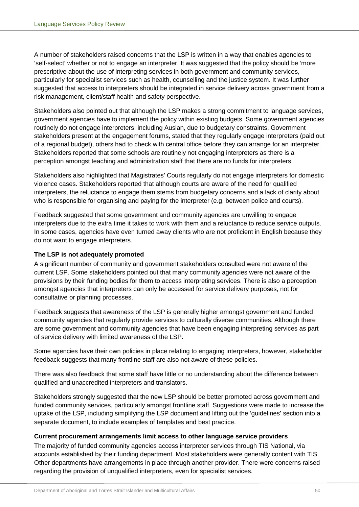A number of stakeholders raised concerns that the LSP is written in a way that enables agencies to 'self-select' whether or not to engage an interpreter. It was suggested that the policy should be 'more prescriptive about the use of interpreting services in both government and community services, particularly for specialist services such as health, counselling and the justice system. It was further suggested that access to interpreters should be integrated in service delivery across government from a risk management, client/staff health and safety perspective.

Stakeholders also pointed out that although the LSP makes a strong commitment to language services, government agencies have to implement the policy within existing budgets. Some government agencies routinely do not engage interpreters, including Auslan, due to budgetary constraints. Government stakeholders present at the engagement forums, stated that they regularly engage interpreters (paid out of a regional budget), others had to check with central office before they can arrange for an interpreter. Stakeholders reported that some schools are routinely not engaging interpreters as there is a perception amongst teaching and administration staff that there are no funds for interpreters.

Stakeholders also highlighted that Magistrates' Courts regularly do not engage interpreters for domestic violence cases. Stakeholders reported that although courts are aware of the need for qualified interpreters, the reluctance to engage them stems from budgetary concerns and a lack of clarity about who is responsible for organising and paying for the interpreter (e.g. between police and courts).

Feedback suggested that some government and community agencies are unwilling to engage interpreters due to the extra time it takes to work with them and a reluctance to reduce service outputs. In some cases, agencies have even turned away clients who are not proficient in English because they do not want to engage interpreters.

## **The LSP is not adequately promoted**

A significant number of community and government stakeholders consulted were not aware of the current LSP. Some stakeholders pointed out that many community agencies were not aware of the provisions by their funding bodies for them to access interpreting services. There is also a perception amongst agencies that interpreters can only be accessed for service delivery purposes, not for consultative or planning processes.

Feedback suggests that awareness of the LSP is generally higher amongst government and funded community agencies that regularly provide services to culturally diverse communities. Although there are some government and community agencies that have been engaging interpreting services as part of service delivery with limited awareness of the LSP.

Some agencies have their own policies in place relating to engaging interpreters, however, stakeholder feedback suggests that many frontline staff are also not aware of these policies.

There was also feedback that some staff have little or no understanding about the difference between qualified and unaccredited interpreters and translators.

Stakeholders strongly suggested that the new LSP should be better promoted across government and funded community services, particularly amongst frontline staff. Suggestions were made to increase the uptake of the LSP, including simplifying the LSP document and lifting out the 'guidelines' section into a separate document, to include examples of templates and best practice.

## **Current procurement arrangements limit access to other language service providers**

The majority of funded community agencies access interpreter services through TIS National, via accounts established by their funding department. Most stakeholders were generally content with TIS. Other departments have arrangements in place through another provider. There were concerns raised regarding the provision of unqualified interpreters, even for specialist services.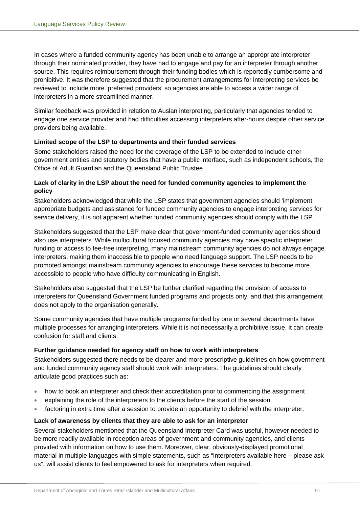In cases where a funded community agency has been unable to arrange an appropriate interpreter through their nominated provider, they have had to engage and pay for an interpreter through another source. This requires reimbursement through their funding bodies which is reportedly cumbersome and prohibitive. It was therefore suggested that the procurement arrangements for interpreting services be reviewed to include more 'preferred providers' so agencies are able to access a wider range of interpreters in a more streamlined manner.

Similar feedback was provided in relation to Auslan interpreting, particularly that agencies tended to engage one service provider and had difficulties accessing interpreters after-hours despite other service providers being available.

## **Limited scope of the LSP to departments and their funded services**

Some stakeholders raised the need for the coverage of the LSP to be extended to include other government entities and statutory bodies that have a public interface, such as independent schools, the Office of Adult Guardian and the Queensland Public Trustee.

## **Lack of clarity in the LSP about the need for funded community agencies to implement the policy**

Stakeholders acknowledged that while the LSP states that government agencies should 'implement appropriate budgets and assistance for funded community agencies to engage interpreting services for service delivery, it is not apparent whether funded community agencies should comply with the LSP.

Stakeholders suggested that the LSP make clear that government-funded community agencies should also use interpreters. While multicultural focused community agencies may have specific interpreter funding or access to fee-free interpreting, many mainstream community agencies do not always engage interpreters, making them inaccessible to people who need language support. The LSP needs to be promoted amongst mainstream community agencies to encourage these services to become more accessible to people who have difficulty communicating in English.

Stakeholders also suggested that the LSP be further clarified regarding the provision of access to interpreters for Queensland Government funded programs and projects only, and that this arrangement does not apply to the organisation generally.

Some community agencies that have multiple programs funded by one or several departments have multiple processes for arranging interpreters. While it is not necessarily a prohibitive issue, it can create confusion for staff and clients.

## **Further guidance needed for agency staff on how to work with interpreters**

Stakeholders suggested there needs to be clearer and more prescriptive guidelines on how government and funded community agency staff should work with interpreters. The guidelines should clearly articulate good practices such as:

- how to book an interpreter and check their accreditation prior to commencing the assignment
- explaining the role of the interpreters to the clients before the start of the session
- factoring in extra time after a session to provide an opportunity to debrief with the interpreter.

## **Lack of awareness by clients that they are able to ask for an interpreter**

Several stakeholders mentioned that the Queensland Interpreter Card was useful, however needed to be more readily available in reception areas of government and community agencies, and clients provided with information on how to use them. Moreover, clear, obviously-displayed promotional material in multiple languages with simple statements, such as "Interpreters available here – please ask us", will assist clients to feel empowered to ask for interpreters when required.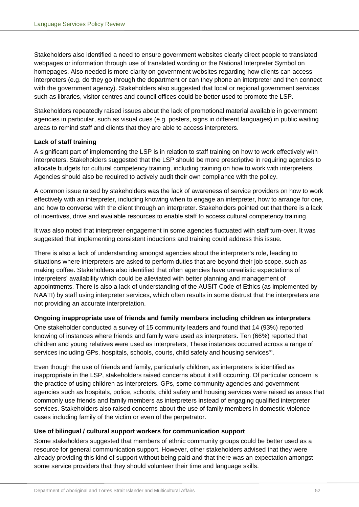Stakeholders also identified a need to ensure government websites clearly direct people to translated webpages or information through use of translated wording or the National Interpreter Symbol on homepages. Also needed is more clarity on government websites regarding how clients can access interpreters (e.g. do they go through the department or can they phone an interpreter and then connect with the government agency). Stakeholders also suggested that local or regional government services such as libraries, visitor centres and council offices could be better used to promote the LSP.

Stakeholders repeatedly raised issues about the lack of promotional material available in government agencies in particular, such as visual cues (e.g. posters, signs in different languages) in public waiting areas to remind staff and clients that they are able to access interpreters.

## **Lack of staff training**

A significant part of implementing the LSP is in relation to staff training on how to work effectively with interpreters. Stakeholders suggested that the LSP should be more prescriptive in requiring agencies to allocate budgets for cultural competency training, including training on how to work with interpreters. Agencies should also be required to actively audit their own compliance with the policy.

A common issue raised by stakeholders was the lack of awareness of service providers on how to work effectively with an interpreter, including knowing when to engage an interpreter, how to arrange for one, and how to converse with the client through an interpreter. Stakeholders pointed out that there is a lack of incentives, drive and available resources to enable staff to access cultural competency training.

It was also noted that interpreter engagement in some agencies fluctuated with staff turn-over. It was suggested that implementing consistent inductions and training could address this issue.

There is also a lack of understanding amongst agencies about the interpreter's role, leading to situations where interpreters are asked to perform duties that are beyond their job scope, such as making coffee. Stakeholders also identified that often agencies have unrealistic expectations of interpreters' availability which could be alleviated with better planning and management of appointments. There is also a lack of understanding of the AUSIT Code of Ethics (as implemented by NAATI) by staff using interpreter services, which often results in some distrust that the interpreters are not providing an accurate interpretation.

## **Ongoing inappropriate use of friends and family members including children as interpreters**

One stakeholder conducted a survey of 15 community leaders and found that 14 (93%) reported knowing of instances where friends and family were used as interpreters. Ten (66%) reported that children and young relatives were used as interpreters, These instances occurred across a range of services including GPs, hospitals, schools, courts, child safety and housing services<sup>30</sup>.

Even though the use of friends and family, particularly children, as interpreters is identified as inappropriate in the LSP, stakeholders raised concerns about it still occurring. Of particular concern is the practice of using children as interpreters. GPs, some community agencies and government agencies such as hospitals, police, schools, child safety and housing services were raised as areas that commonly use friends and family members as interpreters instead of engaging qualified interpreter services. Stakeholders also raised concerns about the use of family members in domestic violence cases including family of the victim or even of the perpetrator.

## **Use of bilingual / cultural support workers for communication support**

Some stakeholders suggested that members of ethnic community groups could be better used as a resource for general communication support. However, other stakeholders advised that they were already providing this kind of support without being paid and that there was an expectation amongst some service providers that they should volunteer their time and language skills.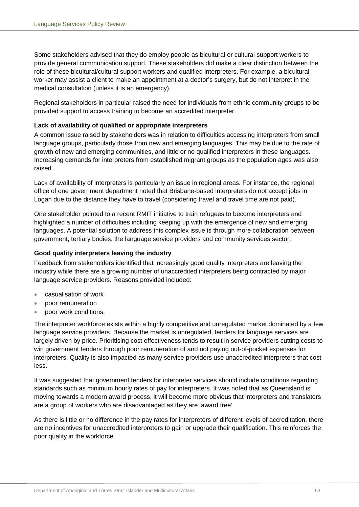Some stakeholders advised that they do employ people as bicultural or cultural support workers to provide general communication support. These stakeholders did make a clear distinction between the role of these bicultural/cultural support workers and qualified interpreters. For example, a bicultural worker may assist a client to make an appointment at a doctor's surgery, but do not interpret in the medical consultation (unless it is an emergency).

Regional stakeholders in particular raised the need for individuals from ethnic community groups to be provided support to access training to become an accredited interpreter.

## **Lack of availability of qualified or appropriate interpreters**

A common issue raised by stakeholders was in relation to difficulties accessing interpreters from small language groups, particularly those from new and emerging languages. This may be due to the rate of growth of new and emerging communities, and little or no qualified interpreters in these languages. Increasing demands for interpreters from established migrant groups as the population ages was also raised.

Lack of availability of interpreters is particularly an issue in regional areas. For instance, the regional office of one government department noted that Brisbane-based interpreters do not accept jobs in Logan due to the distance they have to travel (considering travel and travel time are not paid).

One stakeholder pointed to a recent RMIT initiative to train refugees to become interpreters and highlighted a number of difficulties including keeping up with the emergence of new and emerging languages. A potential solution to address this complex issue is through more collaboration between government, tertiary bodies, the language service providers and community services sector.

## **Good quality interpreters leaving the industry**

Feedback from stakeholders identified that increasingly good quality interpreters are leaving the industry while there are a growing number of unaccredited interpreters being contracted by major language service providers. Reasons provided included:

- casualisation of work
- poor remuneration
- poor work conditions.

The interpreter workforce exists within a highly competitive and unregulated market dominated by a few language service providers. Because the market is unregulated, tenders for language services are largely driven by price. Prioritising cost effectiveness tends to result in service providers cutting costs to win government tenders through poor remuneration of and not paying out-of-pocket expenses for interpreters. Quality is also impacted as many service providers use unaccredited interpreters that cost less.

It was suggested that government tenders for interpreter services should include conditions regarding standards such as minimum hourly rates of pay for interpreters. It was noted that as Queensland is moving towards a modern award process, it will become more obvious that interpreters and translators are a group of workers who are disadvantaged as they are 'award free'.

As there is little or no difference in the pay rates for interpreters of different levels of accreditation, there are no incentives for unaccredited interpreters to gain or upgrade their qualification. This reinforces the poor quality in the workforce.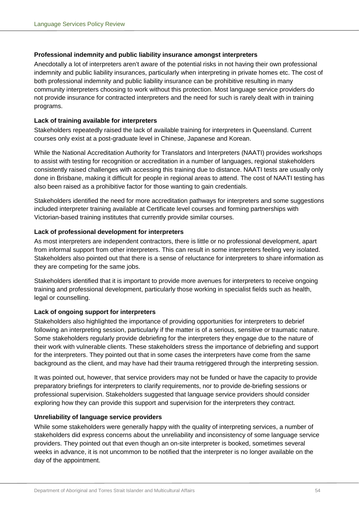## **Professional indemnity and public liability insurance amongst interpreters**

Anecdotally a lot of interpreters aren't aware of the potential risks in not having their own professional indemnity and public liability insurances, particularly when interpreting in private homes etc. The cost of both professional indemnity and public liability insurance can be prohibitive resulting in many community interpreters choosing to work without this protection. Most language service providers do not provide insurance for contracted interpreters and the need for such is rarely dealt with in training programs.

## **Lack of training available for interpreters**

Stakeholders repeatedly raised the lack of available training for interpreters in Queensland. Current courses only exist at a post-graduate level in Chinese, Japanese and Korean.

While the National Accreditation Authority for Translators and Interpreters (NAATI) provides workshops to assist with testing for recognition or accreditation in a number of languages, regional stakeholders consistently raised challenges with accessing this training due to distance. NAATI tests are usually only done in Brisbane, making it difficult for people in regional areas to attend. The cost of NAATI testing has also been raised as a prohibitive factor for those wanting to gain credentials.

Stakeholders identified the need for more accreditation pathways for interpreters and some suggestions included interpreter training available at Certificate level courses and forming partnerships with Victorian-based training institutes that currently provide similar courses.

## **Lack of professional development for interpreters**

As most interpreters are independent contractors, there is little or no professional development, apart from informal support from other interpreters. This can result in some interpreters feeling very isolated. Stakeholders also pointed out that there is a sense of reluctance for interpreters to share information as they are competing for the same jobs.

Stakeholders identified that it is important to provide more avenues for interpreters to receive ongoing training and professional development, particularly those working in specialist fields such as health, legal or counselling.

## **Lack of ongoing support for interpreters**

Stakeholders also highlighted the importance of providing opportunities for interpreters to debrief following an interpreting session, particularly if the matter is of a serious, sensitive or traumatic nature. Some stakeholders regularly provide debriefing for the interpreters they engage due to the nature of their work with vulnerable clients. These stakeholders stress the importance of debriefing and support for the interpreters. They pointed out that in some cases the interpreters have come from the same background as the client, and may have had their trauma retriggered through the interpreting session.

It was pointed out, however, that service providers may not be funded or have the capacity to provide preparatory briefings for interpreters to clarify requirements, nor to provide de-briefing sessions or professional supervision. Stakeholders suggested that language service providers should consider exploring how they can provide this support and supervision for the interpreters they contract.

## **Unreliability of language service providers**

While some stakeholders were generally happy with the quality of interpreting services, a number of stakeholders did express concerns about the unreliability and inconsistency of some language service providers. They pointed out that even though an on-site interpreter is booked, sometimes several weeks in advance, it is not uncommon to be notified that the interpreter is no longer available on the day of the appointment.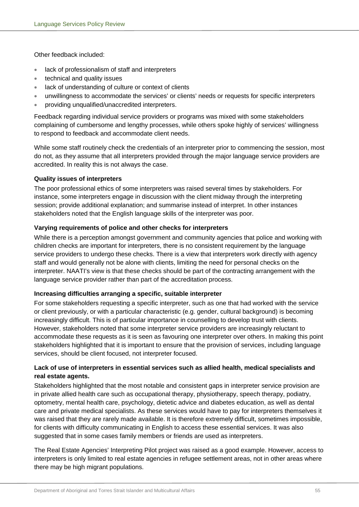Other feedback included:

- lack of professionalism of staff and interpreters
- technical and quality issues
- lack of understanding of culture or context of clients
- unwillingness to accommodate the services' or clients' needs or requests for specific interpreters
- providing unqualified/unaccredited interpreters.

Feedback regarding individual service providers or programs was mixed with some stakeholders complaining of cumbersome and lengthy processes, while others spoke highly of services' willingness to respond to feedback and accommodate client needs.

While some staff routinely check the credentials of an interpreter prior to commencing the session, most do not, as they assume that all interpreters provided through the major language service providers are accredited. In reality this is not always the case.

## **Quality issues of interpreters**

The poor professional ethics of some interpreters was raised several times by stakeholders. For instance, some interpreters engage in discussion with the client midway through the interpreting session; provide additional explanation; and summarise instead of interpret. In other instances stakeholders noted that the English language skills of the interpreter was poor.

## **Varying requirements of police and other checks for interpreters**

While there is a perception amongst government and community agencies that police and working with children checks are important for interpreters, there is no consistent requirement by the language service providers to undergo these checks. There is a view that interpreters work directly with agency staff and would generally not be alone with clients, limiting the need for personal checks on the interpreter. NAATI's view is that these checks should be part of the contracting arrangement with the language service provider rather than part of the accreditation process.

## **Increasing difficulties arranging a specific, suitable interpreter**

For some stakeholders requesting a specific interpreter, such as one that had worked with the service or client previously, or with a particular characteristic (e.g. gender, cultural background) is becoming increasingly difficult. This is of particular importance in counselling to develop trust with clients. However, stakeholders noted that some interpreter service providers are increasingly reluctant to accommodate these requests as it is seen as favouring one interpreter over others. In making this point stakeholders highlighted that it is important to ensure that the provision of services, including language services, should be client focused, not interpreter focused.

## **Lack of use of interpreters in essential services such as allied health, medical specialists and real estate agents.**

Stakeholders highlighted that the most notable and consistent gaps in interpreter service provision are in private allied health care such as occupational therapy, physiotherapy, speech therapy, podiatry, optometry, mental health care, psychology, dietetic advice and diabetes education, as well as dental care and private medical specialists. As these services would have to pay for interpreters themselves it was raised that they are rarely made available. It is therefore extremely difficult, sometimes impossible, for clients with difficulty communicating in English to access these essential services. It was also suggested that in some cases family members or friends are used as interpreters.

The Real Estate Agencies' Interpreting Pilot project was raised as a good example. However, access to interpreters is only limited to real estate agencies in refugee settlement areas, not in other areas where there may be high migrant populations.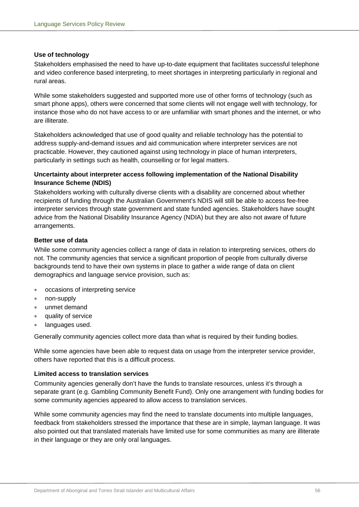## **Use of technology**

Stakeholders emphasised the need to have up-to-date equipment that facilitates successful telephone and video conference based interpreting, to meet shortages in interpreting particularly in regional and rural areas.

While some stakeholders suggested and supported more use of other forms of technology (such as smart phone apps), others were concerned that some clients will not engage well with technology, for instance those who do not have access to or are unfamiliar with smart phones and the internet, or who are illiterate.

Stakeholders acknowledged that use of good quality and reliable technology has the potential to address supply-and-demand issues and aid communication where interpreter services are not practicable. However, they cautioned against using technology in place of human interpreters, particularly in settings such as health, counselling or for legal matters.

## **Uncertainty about interpreter access following implementation of the National Disability Insurance Scheme (NDIS)**

Stakeholders working with culturally diverse clients with a disability are concerned about whether recipients of funding through the Australian Government's NDIS will still be able to access fee-free interpreter services through state government and state funded agencies. Stakeholders have sought advice from the National Disability Insurance Agency (NDIA) but they are also not aware of future arrangements.

## **Better use of data**

While some community agencies collect a range of data in relation to interpreting services, others do not. The community agencies that service a significant proportion of people from culturally diverse backgrounds tend to have their own systems in place to gather a wide range of data on client demographics and language service provision, such as:

- occasions of interpreting service
- non-supply
- unmet demand
- quality of service
- languages used.

Generally community agencies collect more data than what is required by their funding bodies.

While some agencies have been able to request data on usage from the interpreter service provider, others have reported that this is a difficult process.

## **Limited access to translation services**

Community agencies generally don't have the funds to translate resources, unless it's through a separate grant (e.g. Gambling Community Benefit Fund). Only one arrangement with funding bodies for some community agencies appeared to allow access to translation services.

While some community agencies may find the need to translate documents into multiple languages, feedback from stakeholders stressed the importance that these are in simple, layman language. It was also pointed out that translated materials have limited use for some communities as many are illiterate in their language or they are only oral languages.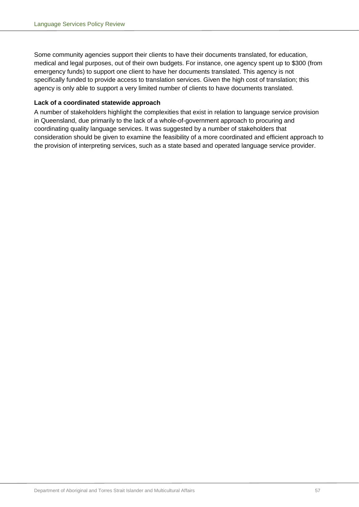Some community agencies support their clients to have their documents translated, for education, medical and legal purposes, out of their own budgets. For instance, one agency spent up to \$300 (from emergency funds) to support one client to have her documents translated. This agency is not specifically funded to provide access to translation services. Given the high cost of translation; this agency is only able to support a very limited number of clients to have documents translated.

## **Lack of a coordinated statewide approach**

A number of stakeholders highlight the complexities that exist in relation to language service provision in Queensland, due primarily to the lack of a whole-of-government approach to procuring and coordinating quality language services. It was suggested by a number of stakeholders that consideration should be given to examine the feasibility of a more coordinated and efficient approach to the provision of interpreting services, such as a state based and operated language service provider.